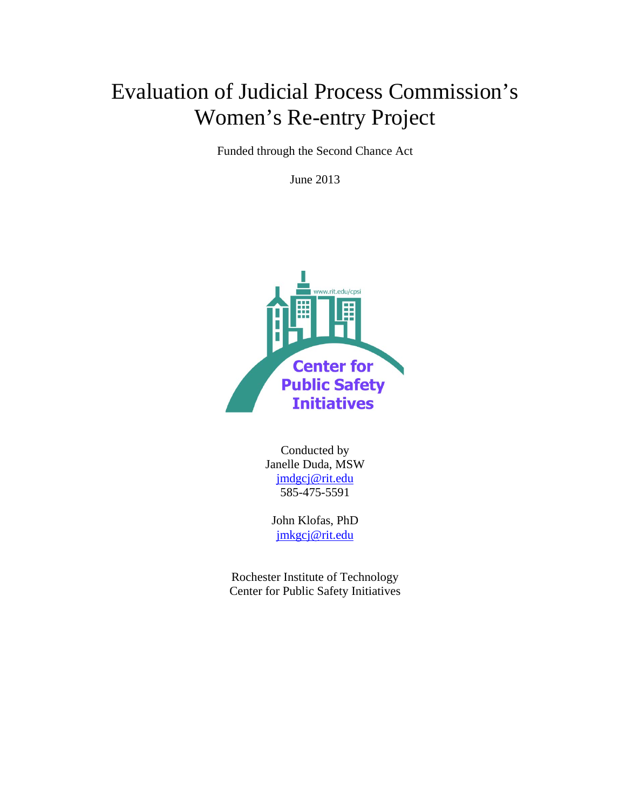# Evaluation of Judicial Process Commission's Women's Re-entry Project

Funded through the Second Chance Act

June 2013



Conducted by Janelle Duda, MSW [jmdgcj@rit.edu](mailto:jmdgcj@rit.edu) 585-475-5591

John Klofas, PhD [jmkgcj@rit.edu](mailto:jmkgcj@rit.edu)

Rochester Institute of Technology Center for Public Safety Initiatives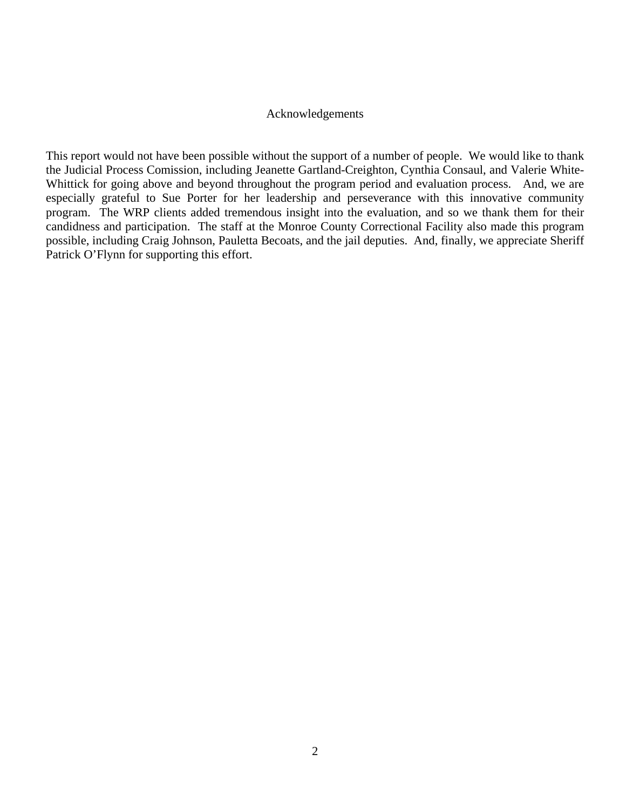#### Acknowledgements

This report would not have been possible without the support of a number of people. We would like to thank the Judicial Process Comission, including Jeanette Gartland-Creighton, Cynthia Consaul, and Valerie White-Whittick for going above and beyond throughout the program period and evaluation process. And, we are especially grateful to Sue Porter for her leadership and perseverance with this innovative community program. The WRP clients added tremendous insight into the evaluation, and so we thank them for their candidness and participation. The staff at the Monroe County Correctional Facility also made this program possible, including Craig Johnson, Pauletta Becoats, and the jail deputies. And, finally, we appreciate Sheriff Patrick O'Flynn for supporting this effort.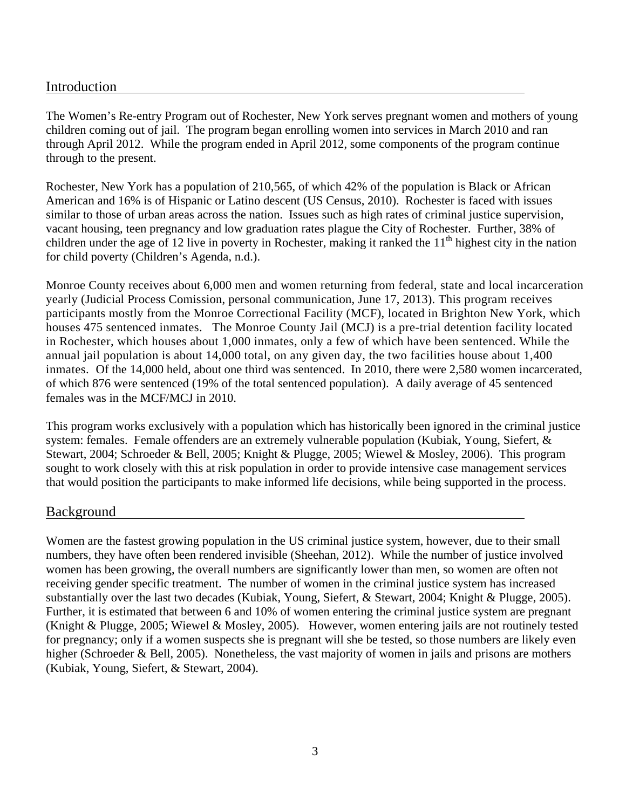# Introduction

The Women's Re-entry Program out of Rochester, New York serves pregnant women and mothers of young children coming out of jail. The program began enrolling women into services in March 2010 and ran through April 2012. While the program ended in April 2012, some components of the program continue through to the present.

Rochester, New York has a population of 210,565, of which 42% of the population is Black or African American and 16% is of Hispanic or Latino descent (US Census, 2010). Rochester is faced with issues similar to those of urban areas across the nation. Issues such as high rates of criminal justice supervision, vacant housing, teen pregnancy and low graduation rates plague the City of Rochester. Further, 38% of children under the age of 12 live in poverty in Rochester, making it ranked the  $11<sup>th</sup>$  highest city in the nation for child poverty (Children's Agenda, n.d.).

Monroe County receives about 6,000 men and women returning from federal, state and local incarceration yearly (Judicial Process Comission, personal communication, June 17, 2013). This program receives participants mostly from the Monroe Correctional Facility (MCF), located in Brighton New York, which houses 475 sentenced inmates. The Monroe County Jail (MCJ) is a pre-trial detention facility located in Rochester, which houses about 1,000 inmates, only a few of which have been sentenced. While the annual jail population is about 14,000 total, on any given day, the two facilities house about 1,400 inmates. Of the 14,000 held, about one third was sentenced. In 2010, there were 2,580 women incarcerated, of which 876 were sentenced (19% of the total sentenced population). A daily average of 45 sentenced females was in the MCF/MCJ in 2010.

This program works exclusively with a population which has historically been ignored in the criminal justice system: females. Female offenders are an extremely vulnerable population (Kubiak, Young, Siefert, & Stewart, 2004; Schroeder & Bell, 2005; Knight & Plugge, 2005; Wiewel & Mosley, 2006). This program sought to work closely with this at risk population in order to provide intensive case management services that would position the participants to make informed life decisions, while being supported in the process.

# Background

Women are the fastest growing population in the US criminal justice system, however, due to their small numbers, they have often been rendered invisible (Sheehan, 2012). While the number of justice involved women has been growing, the overall numbers are significantly lower than men, so women are often not receiving gender specific treatment. The number of women in the criminal justice system has increased substantially over the last two decades (Kubiak, Young, Siefert, & Stewart, 2004; Knight & Plugge, 2005). Further, it is estimated that between 6 and 10% of women entering the criminal justice system are pregnant (Knight & Plugge, 2005; Wiewel & Mosley, 2005). However, women entering jails are not routinely tested for pregnancy; only if a women suspects she is pregnant will she be tested, so those numbers are likely even higher (Schroeder & Bell, 2005). Nonetheless, the vast majority of women in jails and prisons are mothers (Kubiak, Young, Siefert, & Stewart, 2004).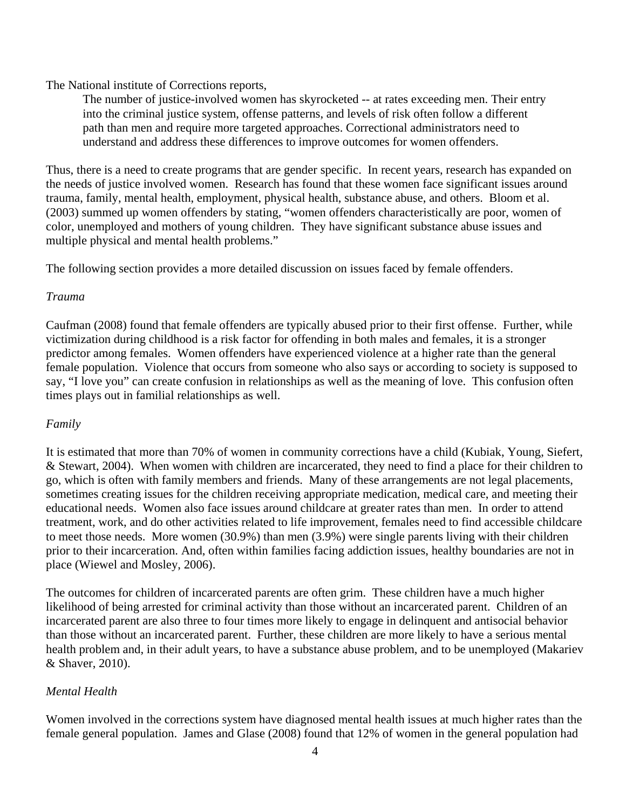The National institute of Corrections reports,

The number of justice-involved women has skyrocketed -- at rates exceeding men. Their entry into the criminal justice system, offense patterns, and levels of risk often follow a different path than men and require more targeted approaches. Correctional administrators need to understand and address these differences to improve outcomes for women offenders.

Thus, there is a need to create programs that are gender specific. In recent years, research has expanded on the needs of justice involved women. Research has found that these women face significant issues around trauma, family, mental health, employment, physical health, substance abuse, and others. Bloom et al. (2003) summed up women offenders by stating, "women offenders characteristically are poor, women of color, unemployed and mothers of young children. They have significant substance abuse issues and multiple physical and mental health problems."

The following section provides a more detailed discussion on issues faced by female offenders.

# *Trauma*

Caufman (2008) found that female offenders are typically abused prior to their first offense. Further, while victimization during childhood is a risk factor for offending in both males and females, it is a stronger predictor among females. Women offenders have experienced violence at a higher rate than the general female population. Violence that occurs from someone who also says or according to society is supposed to say, "I love you" can create confusion in relationships as well as the meaning of love. This confusion often times plays out in familial relationships as well.

# *Family*

It is estimated that more than 70% of women in community corrections have a child (Kubiak, Young, Siefert, & Stewart, 2004). When women with children are incarcerated, they need to find a place for their children to go, which is often with family members and friends. Many of these arrangements are not legal placements, sometimes creating issues for the children receiving appropriate medication, medical care, and meeting their educational needs. Women also face issues around childcare at greater rates than men. In order to attend treatment, work, and do other activities related to life improvement, females need to find accessible childcare to meet those needs. More women (30.9%) than men (3.9%) were single parents living with their children prior to their incarceration. And, often within families facing addiction issues, healthy boundaries are not in place (Wiewel and Mosley, 2006).

The outcomes for children of incarcerated parents are often grim. These children have a much higher likelihood of being arrested for criminal activity than those without an incarcerated parent. Children of an incarcerated parent are also three to four times more likely to engage in delinquent and antisocial behavior than those without an incarcerated parent. Further, these children are more likely to have a serious mental health problem and, in their adult years, to have a substance abuse problem, and to be unemployed (Makariev & Shaver, 2010).

# *Mental Health*

Women involved in the corrections system have diagnosed mental health issues at much higher rates than the female general population. James and Glase (2008) found that 12% of women in the general population had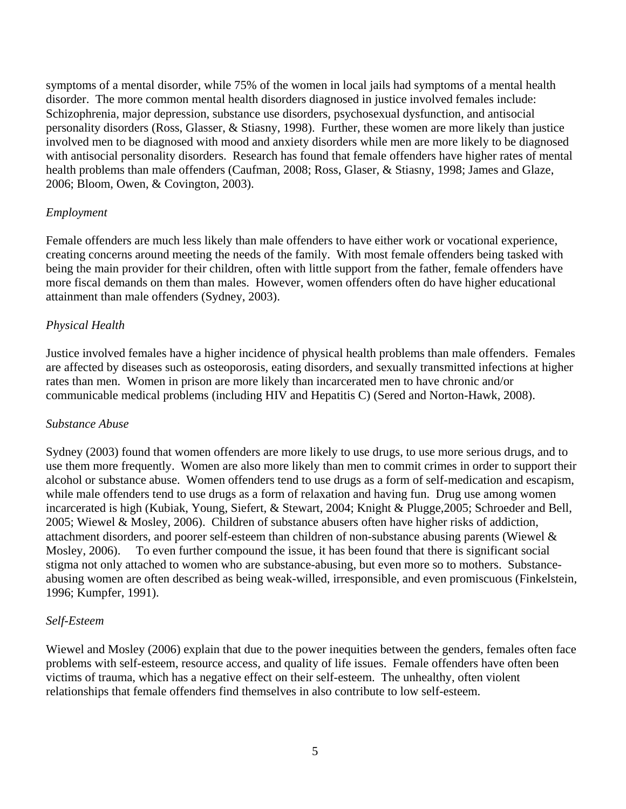symptoms of a mental disorder, while 75% of the women in local jails had symptoms of a mental health disorder. The more common mental health disorders diagnosed in justice involved females include: Schizophrenia, major depression, substance use disorders, psychosexual dysfunction, and antisocial personality disorders (Ross, Glasser, & Stiasny, 1998). Further, these women are more likely than justice involved men to be diagnosed with mood and anxiety disorders while men are more likely to be diagnosed with antisocial personality disorders. Research has found that female offenders have higher rates of mental health problems than male offenders (Caufman, 2008; Ross, Glaser, & Stiasny, 1998; James and Glaze, 2006; Bloom, Owen, & Covington, 2003).

# *Employment*

Female offenders are much less likely than male offenders to have either work or vocational experience, creating concerns around meeting the needs of the family. With most female offenders being tasked with being the main provider for their children, often with little support from the father, female offenders have more fiscal demands on them than males. However, women offenders often do have higher educational attainment than male offenders (Sydney, 2003).

# *Physical Health*

Justice involved females have a higher incidence of physical health problems than male offenders. Females are affected by diseases such as osteoporosis, eating disorders, and sexually transmitted infections at higher rates than men. Women in prison are more likely than incarcerated men to have chronic and/or communicable medical problems (including HIV and Hepatitis C) (Sered and Norton-Hawk, 2008).

# *Substance Abuse*

Sydney (2003) found that women offenders are more likely to use drugs, to use more serious drugs, and to use them more frequently. Women are also more likely than men to commit crimes in order to support their alcohol or substance abuse. Women offenders tend to use drugs as a form of self-medication and escapism, while male offenders tend to use drugs as a form of relaxation and having fun. Drug use among women incarcerated is high (Kubiak, Young, Siefert, & Stewart, 2004; Knight & Plugge,2005; Schroeder and Bell, 2005; Wiewel & Mosley, 2006). Children of substance abusers often have higher risks of addiction, attachment disorders, and poorer self-esteem than children of non-substance abusing parents (Wiewel & Mosley, 2006). To even further compound the issue, it has been found that there is significant social stigma not only attached to women who are substance-abusing, but even more so to mothers. Substanceabusing women are often described as being weak-willed, irresponsible, and even promiscuous (Finkelstein, 1996; Kumpfer, 1991).

# *Self-Esteem*

Wiewel and Mosley (2006) explain that due to the power inequities between the genders, females often face problems with self-esteem, resource access, and quality of life issues. Female offenders have often been victims of trauma, which has a negative effect on their self-esteem. The unhealthy, often violent relationships that female offenders find themselves in also contribute to low self-esteem.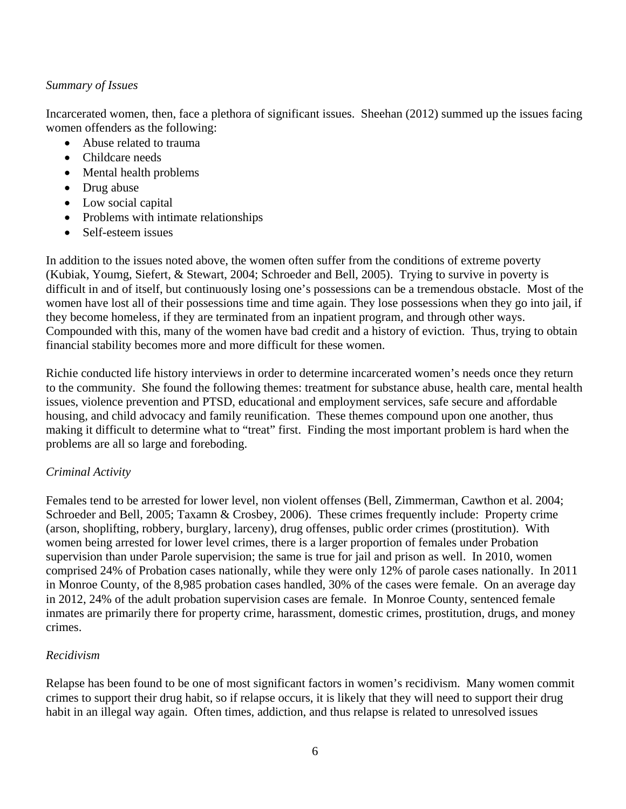# *Summary of Issues*

Incarcerated women, then, face a plethora of significant issues. Sheehan (2012) summed up the issues facing women offenders as the following:

- Abuse related to trauma
- Childcare needs
- Mental health problems
- Drug abuse
- Low social capital
- Problems with intimate relationships
- Self-esteem issues

In addition to the issues noted above, the women often suffer from the conditions of extreme poverty (Kubiak, Youmg, Siefert, & Stewart, 2004; Schroeder and Bell, 2005). Trying to survive in poverty is difficult in and of itself, but continuously losing one's possessions can be a tremendous obstacle. Most of the women have lost all of their possessions time and time again. They lose possessions when they go into jail, if they become homeless, if they are terminated from an inpatient program, and through other ways. Compounded with this, many of the women have bad credit and a history of eviction. Thus, trying to obtain financial stability becomes more and more difficult for these women.

Richie conducted life history interviews in order to determine incarcerated women's needs once they return to the community. She found the following themes: treatment for substance abuse, health care, mental health issues, violence prevention and PTSD, educational and employment services, safe secure and affordable housing, and child advocacy and family reunification. These themes compound upon one another, thus making it difficult to determine what to "treat" first. Finding the most important problem is hard when the problems are all so large and foreboding.

# *Criminal Activity*

Females tend to be arrested for lower level, non violent offenses (Bell, Zimmerman, Cawthon et al. 2004; Schroeder and Bell, 2005; Taxamn & Crosbey, 2006). These crimes frequently include: Property crime (arson, shoplifting, robbery, burglary, larceny), drug offenses, public order crimes (prostitution). With women being arrested for lower level crimes, there is a larger proportion of females under Probation supervision than under Parole supervision; the same is true for jail and prison as well. In 2010, women comprised 24% of Probation cases nationally, while they were only 12% of parole cases nationally. In 2011 in Monroe County, of the 8,985 probation cases handled, 30% of the cases were female. On an average day in 2012, 24% of the adult probation supervision cases are female. In Monroe County, sentenced female inmates are primarily there for property crime, harassment, domestic crimes, prostitution, drugs, and money crimes.

# *Recidivism*

Relapse has been found to be one of most significant factors in women's recidivism. Many women commit crimes to support their drug habit, so if relapse occurs, it is likely that they will need to support their drug habit in an illegal way again. Often times, addiction, and thus relapse is related to unresolved issues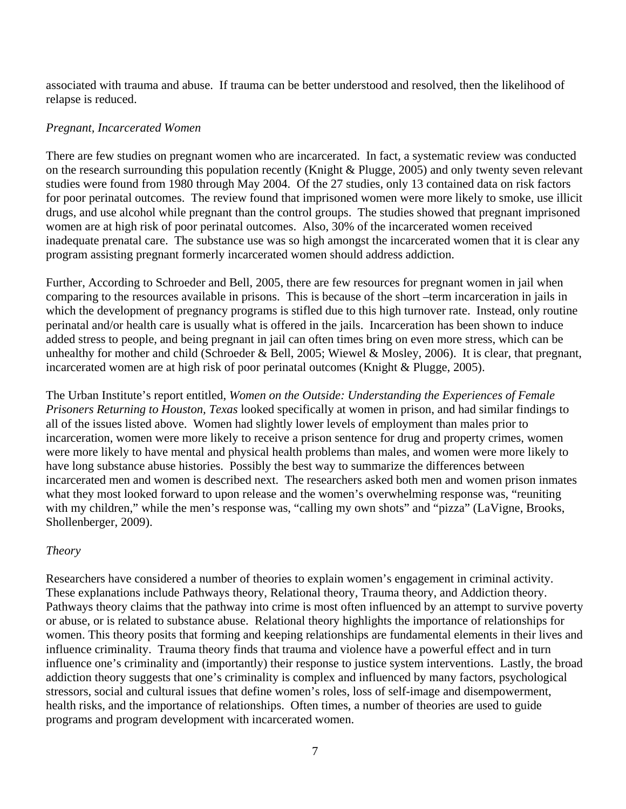associated with trauma and abuse. If trauma can be better understood and resolved, then the likelihood of relapse is reduced.

# *Pregnant, Incarcerated Women*

There are few studies on pregnant women who are incarcerated. In fact, a systematic review was conducted on the research surrounding this population recently (Knight & Plugge, 2005) and only twenty seven relevant studies were found from 1980 through May 2004. Of the 27 studies, only 13 contained data on risk factors for poor perinatal outcomes. The review found that imprisoned women were more likely to smoke, use illicit drugs, and use alcohol while pregnant than the control groups. The studies showed that pregnant imprisoned women are at high risk of poor perinatal outcomes. Also, 30% of the incarcerated women received inadequate prenatal care. The substance use was so high amongst the incarcerated women that it is clear any program assisting pregnant formerly incarcerated women should address addiction.

Further, According to Schroeder and Bell, 2005, there are few resources for pregnant women in jail when comparing to the resources available in prisons. This is because of the short –term incarceration in jails in which the development of pregnancy programs is stifled due to this high turnover rate. Instead, only routine perinatal and/or health care is usually what is offered in the jails. Incarceration has been shown to induce added stress to people, and being pregnant in jail can often times bring on even more stress, which can be unhealthy for mother and child (Schroeder & Bell, 2005; Wiewel & Mosley, 2006). It is clear, that pregnant, incarcerated women are at high risk of poor perinatal outcomes (Knight & Plugge, 2005).

The Urban Institute's report entitled, *Women on the Outside: Understanding the Experiences of Female Prisoners Returning to Houston, Texas* looked specifically at women in prison, and had similar findings to all of the issues listed above. Women had slightly lower levels of employment than males prior to incarceration, women were more likely to receive a prison sentence for drug and property crimes, women were more likely to have mental and physical health problems than males, and women were more likely to have long substance abuse histories. Possibly the best way to summarize the differences between incarcerated men and women is described next. The researchers asked both men and women prison inmates what they most looked forward to upon release and the women's overwhelming response was, "reuniting with my children," while the men's response was, "calling my own shots" and "pizza" (LaVigne, Brooks, Shollenberger, 2009).

# *Theory*

Researchers have considered a number of theories to explain women's engagement in criminal activity. These explanations include Pathways theory, Relational theory, Trauma theory, and Addiction theory. Pathways theory claims that the pathway into crime is most often influenced by an attempt to survive poverty or abuse, or is related to substance abuse. Relational theory highlights the importance of relationships for women. This theory posits that forming and keeping relationships are fundamental elements in their lives and influence criminality. Trauma theory finds that trauma and violence have a powerful effect and in turn influence one's criminality and (importantly) their response to justice system interventions. Lastly, the broad addiction theory suggests that one's criminality is complex and influenced by many factors, psychological stressors, social and cultural issues that define women's roles, loss of self-image and disempowerment, health risks, and the importance of relationships. Often times, a number of theories are used to guide programs and program development with incarcerated women.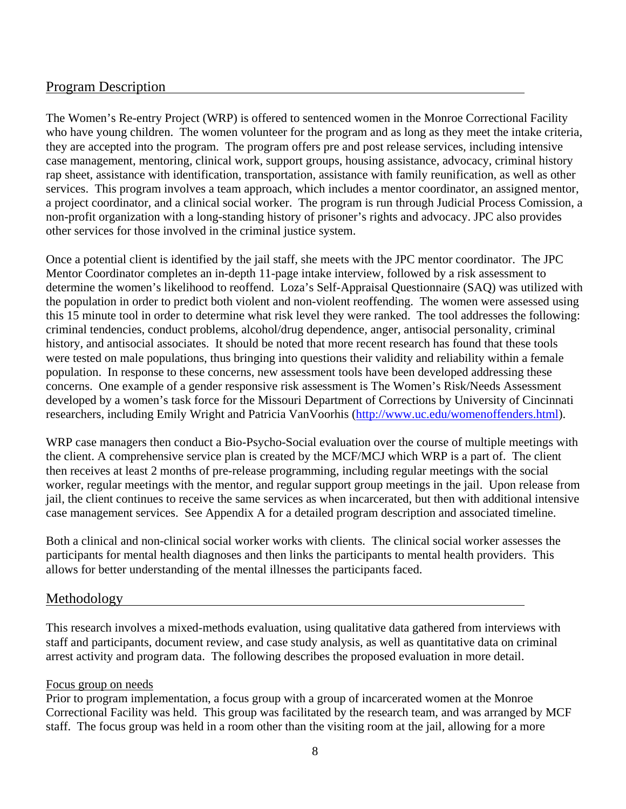# Program Description

The Women's Re-entry Project (WRP) is offered to sentenced women in the Monroe Correctional Facility who have young children. The women volunteer for the program and as long as they meet the intake criteria, they are accepted into the program. The program offers pre and post release services, including intensive case management, mentoring, clinical work, support groups, housing assistance, advocacy, criminal history rap sheet, assistance with identification, transportation, assistance with family reunification, as well as other services. This program involves a team approach, which includes a mentor coordinator, an assigned mentor, a project coordinator, and a clinical social worker. The program is run through Judicial Process Comission, a non-profit organization with a long-standing history of prisoner's rights and advocacy. JPC also provides other services for those involved in the criminal justice system.

Once a potential client is identified by the jail staff, she meets with the JPC mentor coordinator. The JPC Mentor Coordinator completes an in-depth 11-page intake interview, followed by a risk assessment to determine the women's likelihood to reoffend. Loza's Self-Appraisal Questionnaire (SAQ) was utilized with the population in order to predict both violent and non-violent reoffending. The women were assessed using this 15 minute tool in order to determine what risk level they were ranked. The tool addresses the following: criminal tendencies, conduct problems, alcohol/drug dependence, anger, antisocial personality, criminal history, and antisocial associates. It should be noted that more recent research has found that these tools were tested on male populations, thus bringing into questions their validity and reliability within a female population. In response to these concerns, new assessment tools have been developed addressing these concerns. One example of a gender responsive risk assessment is The Women's Risk/Needs Assessment developed by a women's task force for the Missouri Department of Corrections by University of Cincinnati researchers, including Emily Wright and Patricia VanVoorhis [\(http://www.uc.edu/womenoffenders.html\)](http://www.uc.edu/womenoffenders.html).

WRP case managers then conduct a Bio-Psycho-Social evaluation over the course of multiple meetings with the client. A comprehensive service plan is created by the MCF/MCJ which WRP is a part of. The client then receives at least 2 months of pre-release programming, including regular meetings with the social worker, regular meetings with the mentor, and regular support group meetings in the jail. Upon release from jail, the client continues to receive the same services as when incarcerated, but then with additional intensive case management services. See Appendix A for a detailed program description and associated timeline.

Both a clinical and non-clinical social worker works with clients. The clinical social worker assesses the participants for mental health diagnoses and then links the participants to mental health providers. This allows for better understanding of the mental illnesses the participants faced.

# Methodology

This research involves a mixed-methods evaluation, using qualitative data gathered from interviews with staff and participants, document review, and case study analysis, as well as quantitative data on criminal arrest activity and program data. The following describes the proposed evaluation in more detail.

# Focus group on needs

Prior to program implementation, a focus group with a group of incarcerated women at the Monroe Correctional Facility was held. This group was facilitated by the research team, and was arranged by MCF staff. The focus group was held in a room other than the visiting room at the jail, allowing for a more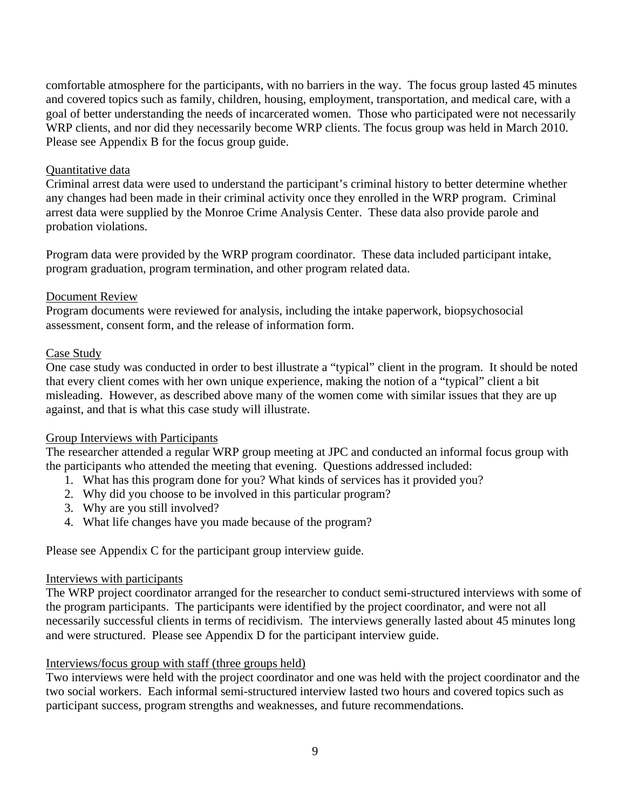comfortable atmosphere for the participants, with no barriers in the way. The focus group lasted 45 minutes and covered topics such as family, children, housing, employment, transportation, and medical care, with a goal of better understanding the needs of incarcerated women. Those who participated were not necessarily WRP clients, and nor did they necessarily become WRP clients. The focus group was held in March 2010. Please see Appendix B for the focus group guide.

#### Quantitative data

Criminal arrest data were used to understand the participant's criminal history to better determine whether any changes had been made in their criminal activity once they enrolled in the WRP program. Criminal arrest data were supplied by the Monroe Crime Analysis Center. These data also provide parole and probation violations.

Program data were provided by the WRP program coordinator. These data included participant intake, program graduation, program termination, and other program related data.

# Document Review

Program documents were reviewed for analysis, including the intake paperwork, biopsychosocial assessment, consent form, and the release of information form.

### Case Study

One case study was conducted in order to best illustrate a "typical" client in the program. It should be noted that every client comes with her own unique experience, making the notion of a "typical" client a bit misleading. However, as described above many of the women come with similar issues that they are up against, and that is what this case study will illustrate.

# Group Interviews with Participants

The researcher attended a regular WRP group meeting at JPC and conducted an informal focus group with the participants who attended the meeting that evening. Questions addressed included:

- 1. What has this program done for you? What kinds of services has it provided you?
- 2. Why did you choose to be involved in this particular program?
- 3. Why are you still involved?
- 4. What life changes have you made because of the program?

Please see Appendix C for the participant group interview guide.

# Interviews with participants

The WRP project coordinator arranged for the researcher to conduct semi-structured interviews with some of the program participants. The participants were identified by the project coordinator, and were not all necessarily successful clients in terms of recidivism. The interviews generally lasted about 45 minutes long and were structured. Please see Appendix D for the participant interview guide.

# Interviews/focus group with staff (three groups held)

Two interviews were held with the project coordinator and one was held with the project coordinator and the two social workers. Each informal semi-structured interview lasted two hours and covered topics such as participant success, program strengths and weaknesses, and future recommendations.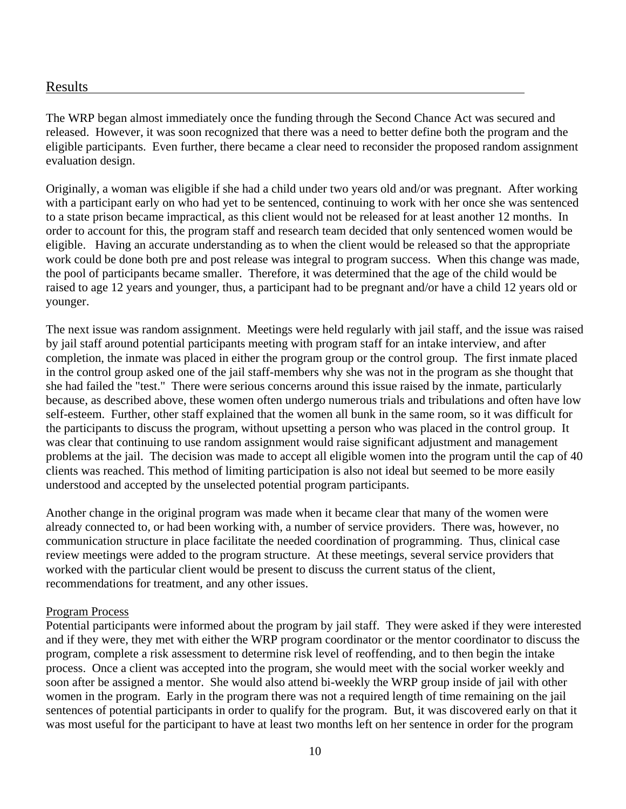# Results

The WRP began almost immediately once the funding through the Second Chance Act was secured and released. However, it was soon recognized that there was a need to better define both the program and the eligible participants. Even further, there became a clear need to reconsider the proposed random assignment evaluation design.

Originally, a woman was eligible if she had a child under two years old and/or was pregnant. After working with a participant early on who had yet to be sentenced, continuing to work with her once she was sentenced to a state prison became impractical, as this client would not be released for at least another 12 months. In order to account for this, the program staff and research team decided that only sentenced women would be eligible. Having an accurate understanding as to when the client would be released so that the appropriate work could be done both pre and post release was integral to program success. When this change was made, the pool of participants became smaller. Therefore, it was determined that the age of the child would be raised to age 12 years and younger, thus, a participant had to be pregnant and/or have a child 12 years old or younger.

The next issue was random assignment. Meetings were held regularly with jail staff, and the issue was raised by jail staff around potential participants meeting with program staff for an intake interview, and after completion, the inmate was placed in either the program group or the control group. The first inmate placed in the control group asked one of the jail staff-members why she was not in the program as she thought that she had failed the "test." There were serious concerns around this issue raised by the inmate, particularly because, as described above, these women often undergo numerous trials and tribulations and often have low self-esteem. Further, other staff explained that the women all bunk in the same room, so it was difficult for the participants to discuss the program, without upsetting a person who was placed in the control group. It was clear that continuing to use random assignment would raise significant adjustment and management problems at the jail. The decision was made to accept all eligible women into the program until the cap of 40 clients was reached. This method of limiting participation is also not ideal but seemed to be more easily understood and accepted by the unselected potential program participants.

Another change in the original program was made when it became clear that many of the women were already connected to, or had been working with, a number of service providers. There was, however, no communication structure in place facilitate the needed coordination of programming. Thus, clinical case review meetings were added to the program structure. At these meetings, several service providers that worked with the particular client would be present to discuss the current status of the client, recommendations for treatment, and any other issues.

#### Program Process

Potential participants were informed about the program by jail staff. They were asked if they were interested and if they were, they met with either the WRP program coordinator or the mentor coordinator to discuss the program, complete a risk assessment to determine risk level of reoffending, and to then begin the intake process. Once a client was accepted into the program, she would meet with the social worker weekly and soon after be assigned a mentor. She would also attend bi-weekly the WRP group inside of jail with other women in the program. Early in the program there was not a required length of time remaining on the jail sentences of potential participants in order to qualify for the program. But, it was discovered early on that it was most useful for the participant to have at least two months left on her sentence in order for the program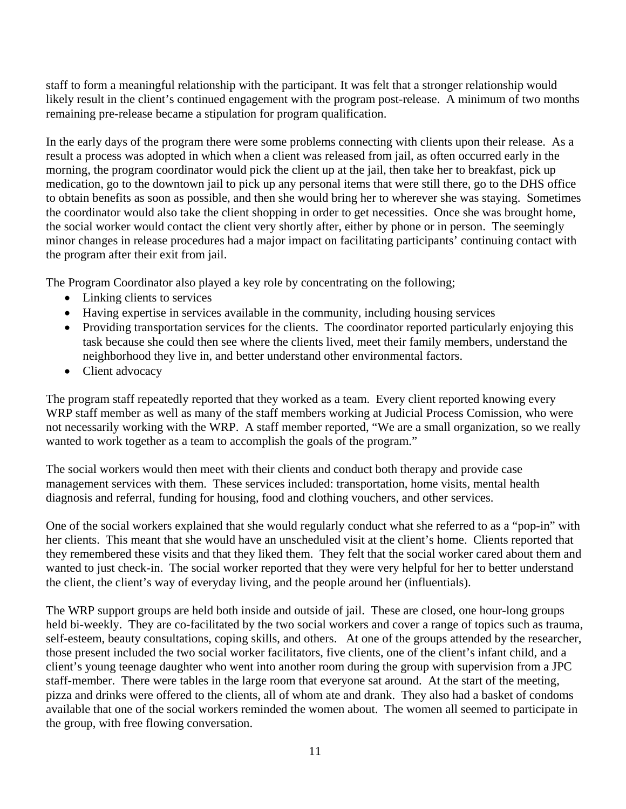staff to form a meaningful relationship with the participant. It was felt that a stronger relationship would likely result in the client's continued engagement with the program post-release. A minimum of two months remaining pre-release became a stipulation for program qualification.

In the early days of the program there were some problems connecting with clients upon their release. As a result a process was adopted in which when a client was released from jail, as often occurred early in the morning, the program coordinator would pick the client up at the jail, then take her to breakfast, pick up medication, go to the downtown jail to pick up any personal items that were still there, go to the DHS office to obtain benefits as soon as possible, and then she would bring her to wherever she was staying. Sometimes the coordinator would also take the client shopping in order to get necessities. Once she was brought home, the social worker would contact the client very shortly after, either by phone or in person. The seemingly minor changes in release procedures had a major impact on facilitating participants' continuing contact with the program after their exit from jail.

The Program Coordinator also played a key role by concentrating on the following;

- Linking clients to services
- Having expertise in services available in the community, including housing services
- Providing transportation services for the clients. The coordinator reported particularly enjoying this task because she could then see where the clients lived, meet their family members, understand the neighborhood they live in, and better understand other environmental factors.
- Client advocacy

The program staff repeatedly reported that they worked as a team. Every client reported knowing every WRP staff member as well as many of the staff members working at Judicial Process Comission, who were not necessarily working with the WRP. A staff member reported, "We are a small organization, so we really wanted to work together as a team to accomplish the goals of the program."

The social workers would then meet with their clients and conduct both therapy and provide case management services with them. These services included: transportation, home visits, mental health diagnosis and referral, funding for housing, food and clothing vouchers, and other services.

One of the social workers explained that she would regularly conduct what she referred to as a "pop-in" with her clients. This meant that she would have an unscheduled visit at the client's home. Clients reported that they remembered these visits and that they liked them. They felt that the social worker cared about them and wanted to just check-in. The social worker reported that they were very helpful for her to better understand the client, the client's way of everyday living, and the people around her (influentials).

The WRP support groups are held both inside and outside of jail. These are closed, one hour-long groups held bi-weekly. They are co-facilitated by the two social workers and cover a range of topics such as trauma, self-esteem, beauty consultations, coping skills, and others. At one of the groups attended by the researcher, those present included the two social worker facilitators, five clients, one of the client's infant child, and a client's young teenage daughter who went into another room during the group with supervision from a JPC staff-member. There were tables in the large room that everyone sat around. At the start of the meeting, pizza and drinks were offered to the clients, all of whom ate and drank. They also had a basket of condoms available that one of the social workers reminded the women about. The women all seemed to participate in the group, with free flowing conversation.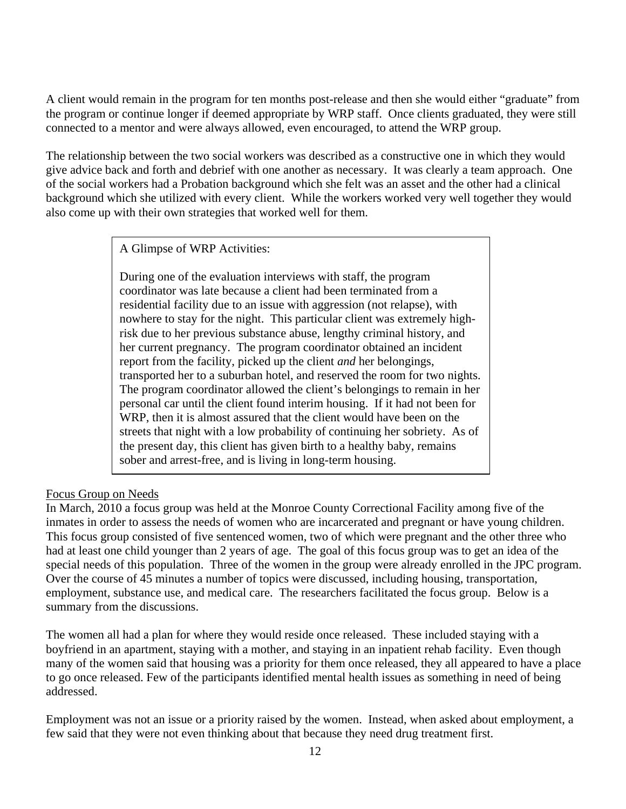A client would remain in the program for ten months post-release and then she would either "graduate" from the program or continue longer if deemed appropriate by WRP staff. Once clients graduated, they were still connected to a mentor and were always allowed, even encouraged, to attend the WRP group.

The relationship between the two social workers was described as a constructive one in which they would give advice back and forth and debrief with one another as necessary. It was clearly a team approach. One of the social workers had a Probation background which she felt was an asset and the other had a clinical background which she utilized with every client. While the workers worked very well together they would also come up with their own strategies that worked well for them.

A Glimpse of WRP Activities:

During one of the evaluation interviews with staff, the program coordinator was late because a client had been terminated from a residential facility due to an issue with aggression (not relapse), with nowhere to stay for the night. This particular client was extremely highrisk due to her previous substance abuse, lengthy criminal history, and her current pregnancy. The program coordinator obtained an incident report from the facility, picked up the client *and* her belongings, transported her to a suburban hotel, and reserved the room for two nights. The program coordinator allowed the client's belongings to remain in her personal car until the client found interim housing. If it had not been for WRP, then it is almost assured that the client would have been on the streets that night with a low probability of continuing her sobriety. As of the present day, this client has given birth to a healthy baby, remains sober and arrest-free, and is living in long-term housing.

# Focus Group on Needs

In March, 2010 a focus group was held at the Monroe County Correctional Facility among five of the inmates in order to assess the needs of women who are incarcerated and pregnant or have young children. This focus group consisted of five sentenced women, two of which were pregnant and the other three who had at least one child younger than 2 years of age. The goal of this focus group was to get an idea of the special needs of this population. Three of the women in the group were already enrolled in the JPC program. Over the course of 45 minutes a number of topics were discussed, including housing, transportation, employment, substance use, and medical care. The researchers facilitated the focus group. Below is a summary from the discussions.

The women all had a plan for where they would reside once released. These included staying with a boyfriend in an apartment, staying with a mother, and staying in an inpatient rehab facility. Even though many of the women said that housing was a priority for them once released, they all appeared to have a place to go once released. Few of the participants identified mental health issues as something in need of being addressed.

Employment was not an issue or a priority raised by the women. Instead, when asked about employment, a few said that they were not even thinking about that because they need drug treatment first.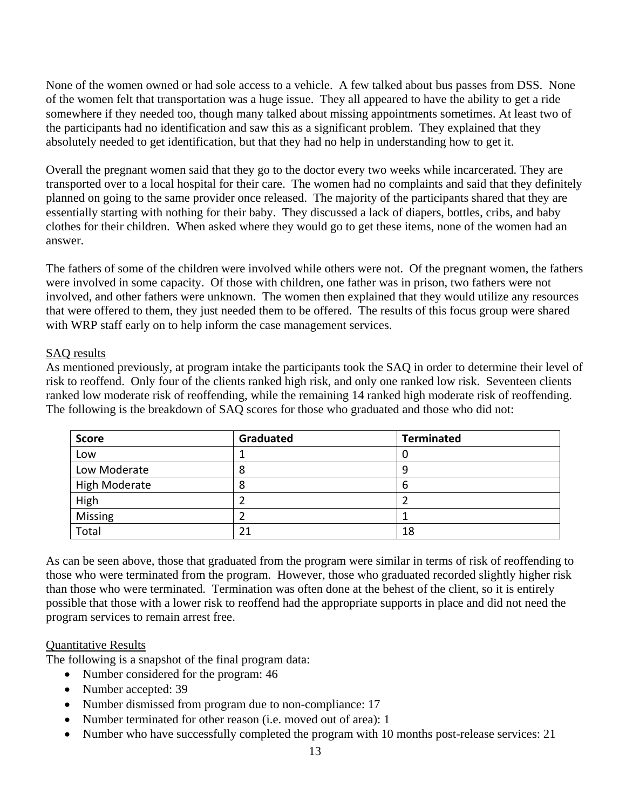None of the women owned or had sole access to a vehicle. A few talked about bus passes from DSS. None of the women felt that transportation was a huge issue. They all appeared to have the ability to get a ride somewhere if they needed too, though many talked about missing appointments sometimes. At least two of the participants had no identification and saw this as a significant problem. They explained that they absolutely needed to get identification, but that they had no help in understanding how to get it.

Overall the pregnant women said that they go to the doctor every two weeks while incarcerated. They are transported over to a local hospital for their care. The women had no complaints and said that they definitely planned on going to the same provider once released. The majority of the participants shared that they are essentially starting with nothing for their baby. They discussed a lack of diapers, bottles, cribs, and baby clothes for their children. When asked where they would go to get these items, none of the women had an answer.

The fathers of some of the children were involved while others were not. Of the pregnant women, the fathers were involved in some capacity. Of those with children, one father was in prison, two fathers were not involved, and other fathers were unknown. The women then explained that they would utilize any resources that were offered to them, they just needed them to be offered. The results of this focus group were shared with WRP staff early on to help inform the case management services.

# SAQ results

As mentioned previously, at program intake the participants took the SAQ in order to determine their level of risk to reoffend. Only four of the clients ranked high risk, and only one ranked low risk. Seventeen clients ranked low moderate risk of reoffending, while the remaining 14 ranked high moderate risk of reoffending. The following is the breakdown of SAQ scores for those who graduated and those who did not:

| <b>Score</b>         | Graduated | <b>Terminated</b> |
|----------------------|-----------|-------------------|
| Low                  |           | U                 |
| Low Moderate         | Õ         | u                 |
| <b>High Moderate</b> | 8         | b                 |
| High                 |           |                   |
| Missing              |           |                   |
| Total                | 21        | 18                |

As can be seen above, those that graduated from the program were similar in terms of risk of reoffending to those who were terminated from the program. However, those who graduated recorded slightly higher risk than those who were terminated. Termination was often done at the behest of the client, so it is entirely possible that those with a lower risk to reoffend had the appropriate supports in place and did not need the program services to remain arrest free.

# Quantitative Results

The following is a snapshot of the final program data:

- Number considered for the program: 46
- Number accepted: 39
- Number dismissed from program due to non-compliance: 17
- Number terminated for other reason (i.e. moved out of area): 1
- Number who have successfully completed the program with 10 months post-release services: 21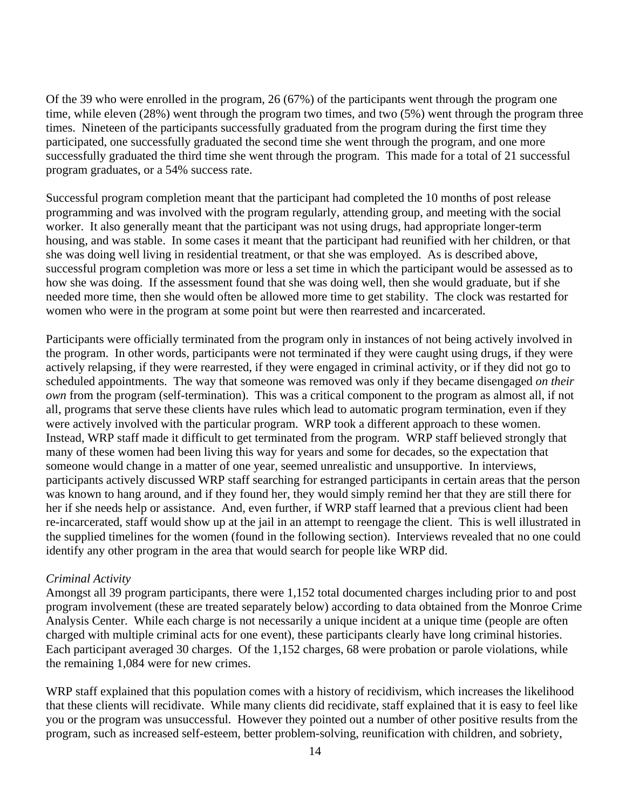Of the 39 who were enrolled in the program, 26 (67%) of the participants went through the program one time, while eleven (28%) went through the program two times, and two (5%) went through the program three times. Nineteen of the participants successfully graduated from the program during the first time they participated, one successfully graduated the second time she went through the program, and one more successfully graduated the third time she went through the program. This made for a total of 21 successful program graduates, or a 54% success rate.

Successful program completion meant that the participant had completed the 10 months of post release programming and was involved with the program regularly, attending group, and meeting with the social worker. It also generally meant that the participant was not using drugs, had appropriate longer-term housing, and was stable. In some cases it meant that the participant had reunified with her children, or that she was doing well living in residential treatment, or that she was employed. As is described above, successful program completion was more or less a set time in which the participant would be assessed as to how she was doing. If the assessment found that she was doing well, then she would graduate, but if she needed more time, then she would often be allowed more time to get stability. The clock was restarted for women who were in the program at some point but were then rearrested and incarcerated.

Participants were officially terminated from the program only in instances of not being actively involved in the program. In other words, participants were not terminated if they were caught using drugs, if they were actively relapsing, if they were rearrested, if they were engaged in criminal activity, or if they did not go to scheduled appointments. The way that someone was removed was only if they became disengaged *on their own* from the program (self-termination). This was a critical component to the program as almost all, if not all, programs that serve these clients have rules which lead to automatic program termination, even if they were actively involved with the particular program. WRP took a different approach to these women. Instead, WRP staff made it difficult to get terminated from the program. WRP staff believed strongly that many of these women had been living this way for years and some for decades, so the expectation that someone would change in a matter of one year, seemed unrealistic and unsupportive. In interviews, participants actively discussed WRP staff searching for estranged participants in certain areas that the person was known to hang around, and if they found her, they would simply remind her that they are still there for her if she needs help or assistance. And, even further, if WRP staff learned that a previous client had been re-incarcerated, staff would show up at the jail in an attempt to reengage the client. This is well illustrated in the supplied timelines for the women (found in the following section). Interviews revealed that no one could identify any other program in the area that would search for people like WRP did.

# *Criminal Activity*

Amongst all 39 program participants, there were 1,152 total documented charges including prior to and post program involvement (these are treated separately below) according to data obtained from the Monroe Crime Analysis Center. While each charge is not necessarily a unique incident at a unique time (people are often charged with multiple criminal acts for one event), these participants clearly have long criminal histories. Each participant averaged 30 charges. Of the 1,152 charges, 68 were probation or parole violations, while the remaining 1,084 were for new crimes.

WRP staff explained that this population comes with a history of recidivism, which increases the likelihood that these clients will recidivate. While many clients did recidivate, staff explained that it is easy to feel like you or the program was unsuccessful. However they pointed out a number of other positive results from the program, such as increased self-esteem, better problem-solving, reunification with children, and sobriety,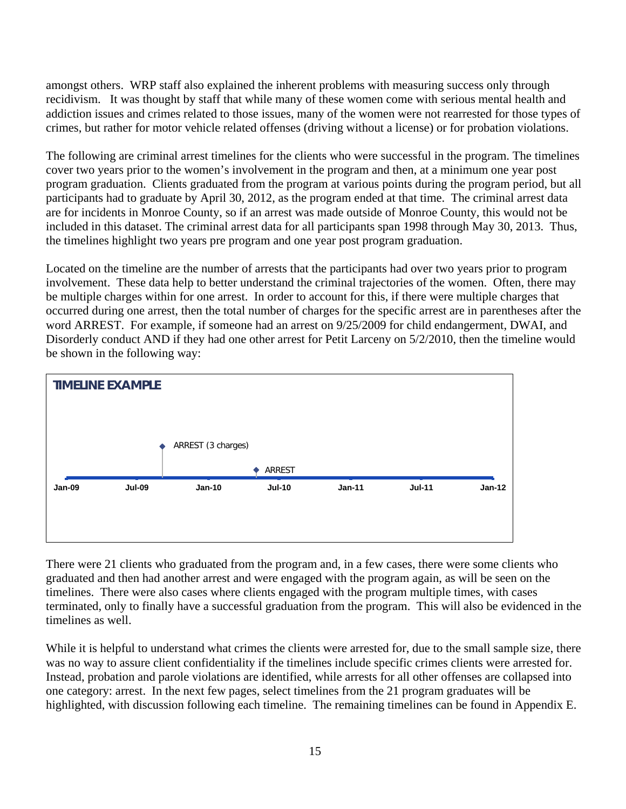amongst others. WRP staff also explained the inherent problems with measuring success only through recidivism. It was thought by staff that while many of these women come with serious mental health and addiction issues and crimes related to those issues, many of the women were not rearrested for those types of crimes, but rather for motor vehicle related offenses (driving without a license) or for probation violations.

The following are criminal arrest timelines for the clients who were successful in the program. The timelines cover two years prior to the women's involvement in the program and then, at a minimum one year post program graduation. Clients graduated from the program at various points during the program period, but all participants had to graduate by April 30, 2012, as the program ended at that time. The criminal arrest data are for incidents in Monroe County, so if an arrest was made outside of Monroe County, this would not be included in this dataset. The criminal arrest data for all participants span 1998 through May 30, 2013. Thus, the timelines highlight two years pre program and one year post program graduation.

Located on the timeline are the number of arrests that the participants had over two years prior to program involvement. These data help to better understand the criminal trajectories of the women. Often, there may be multiple charges within for one arrest. In order to account for this, if there were multiple charges that occurred during one arrest, then the total number of charges for the specific arrest are in parentheses after the word ARREST. For example, if someone had an arrest on 9/25/2009 for child endangerment, DWAI, and Disorderly conduct AND if they had one other arrest for Petit Larceny on 5/2/2010, then the timeline would be shown in the following way:



There were 21 clients who graduated from the program and, in a few cases, there were some clients who graduated and then had another arrest and were engaged with the program again, as will be seen on the timelines. There were also cases where clients engaged with the program multiple times, with cases terminated, only to finally have a successful graduation from the program. This will also be evidenced in the timelines as well.

While it is helpful to understand what crimes the clients were arrested for, due to the small sample size, there was no way to assure client confidentiality if the timelines include specific crimes clients were arrested for. Instead, probation and parole violations are identified, while arrests for all other offenses are collapsed into one category: arrest. In the next few pages, select timelines from the 21 program graduates will be highlighted, with discussion following each timeline. The remaining timelines can be found in Appendix E.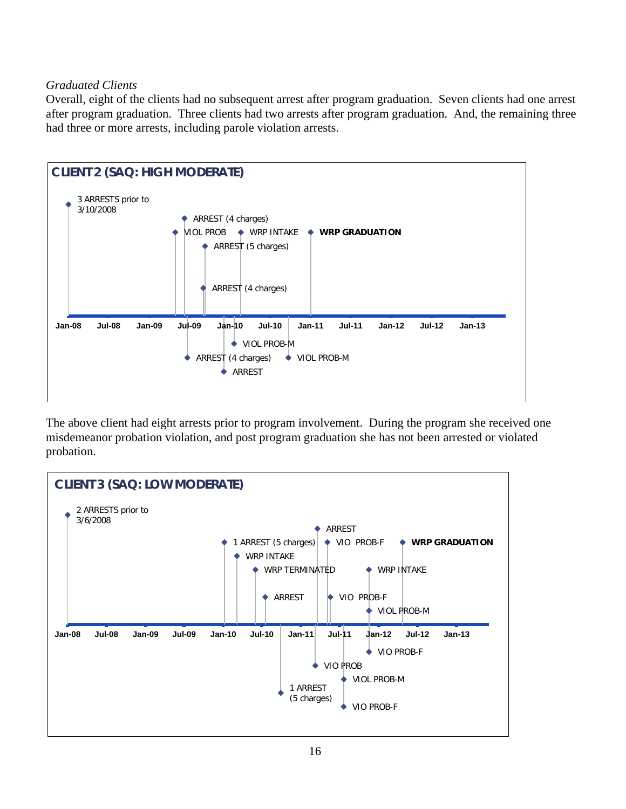# *Graduated Clients*

Overall, eight of the clients had no subsequent arrest after program graduation. Seven clients had one arrest after program graduation. Three clients had two arrests after program graduation. And, the remaining three had three or more arrests, including parole violation arrests.



The above client had eight arrests prior to program involvement. During the program she received one misdemeanor probation violation, and post program graduation she has not been arrested or violated probation.

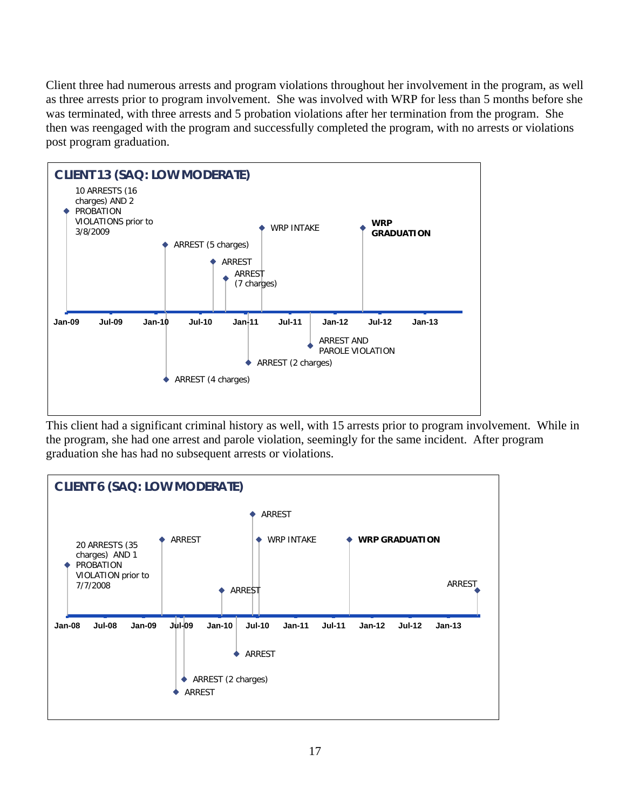Client three had numerous arrests and program violations throughout her involvement in the program, as well as three arrests prior to program involvement. She was involved with WRP for less than 5 months before she was terminated, with three arrests and 5 probation violations after her termination from the program. She then was reengaged with the program and successfully completed the program, with no arrests or violations post program graduation.



This client had a significant criminal history as well, with 15 arrests prior to program involvement. While in the program, she had one arrest and parole violation, seemingly for the same incident. After program graduation she has had no subsequent arrests or violations.

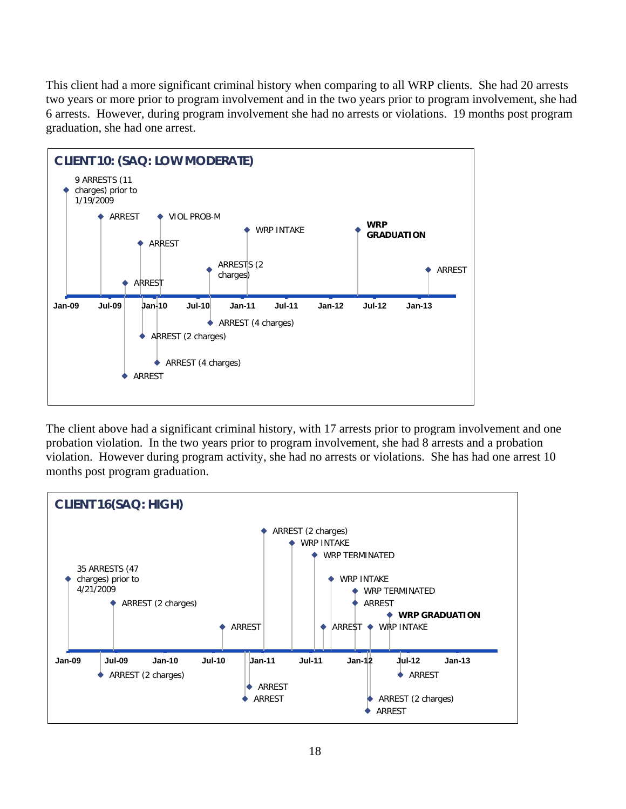This client had a more significant criminal history when comparing to all WRP clients. She had 20 arrests two years or more prior to program involvement and in the two years prior to program involvement, she had 6 arrests. However, during program involvement she had no arrests or violations. 19 months post program graduation, she had one arrest.



The client above had a significant criminal history, with 17 arrests prior to program involvement and one probation violation. In the two years prior to program involvement, she had 8 arrests and a probation violation. However during program activity, she had no arrests or violations. She has had one arrest 10 months post program graduation.

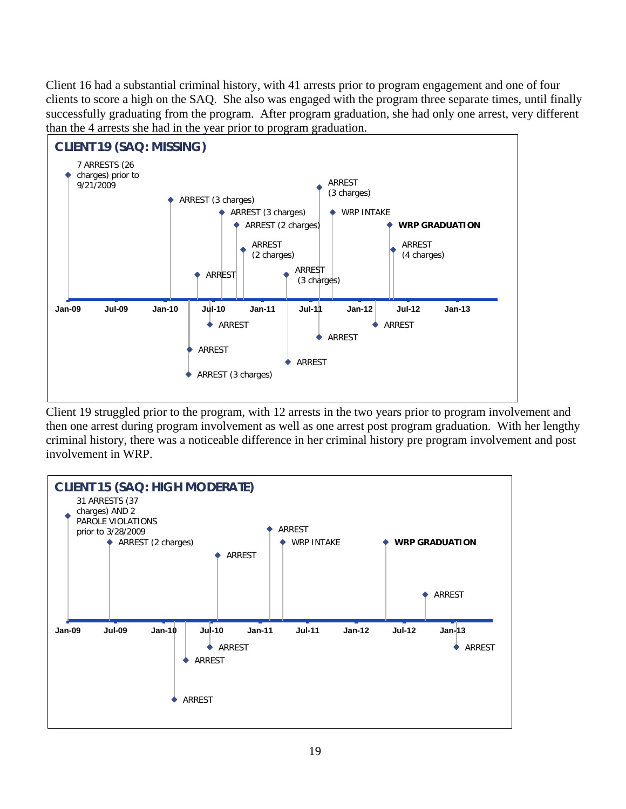Client 16 had a substantial criminal history, with 41 arrests prior to program engagement and one of four clients to score a high on the SAQ. She also was engaged with the program three separate times, until finally successfully graduating from the program. After program graduation, she had only one arrest, very different than the 4 arrests she had in the year prior to program graduation.



Client 19 struggled prior to the program, with 12 arrests in the two years prior to program involvement and then one arrest during program involvement as well as one arrest post program graduation. With her lengthy criminal history, there was a noticeable difference in her criminal history pre program involvement and post involvement in WRP.

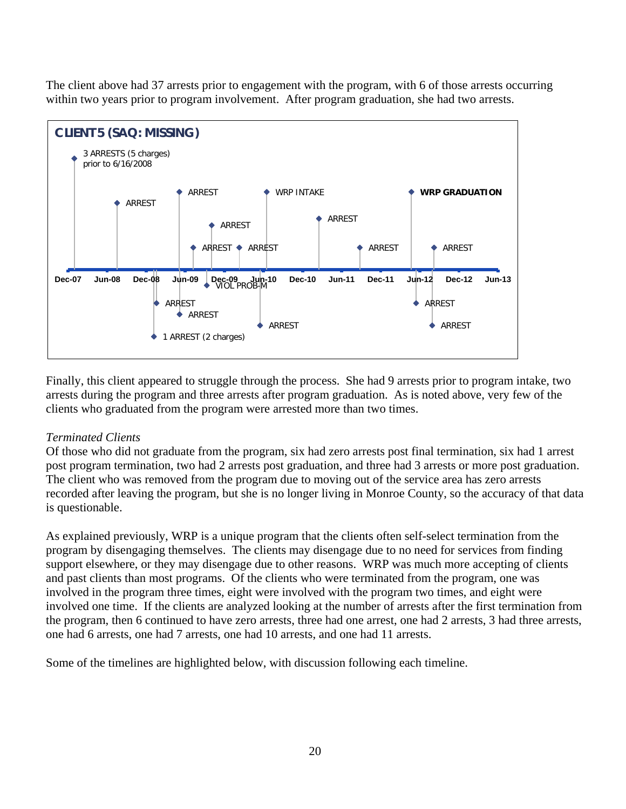The client above had 37 arrests prior to engagement with the program, with 6 of those arrests occurring within two years prior to program involvement. After program graduation, she had two arrests.



Finally, this client appeared to struggle through the process. She had 9 arrests prior to program intake, two arrests during the program and three arrests after program graduation. As is noted above, very few of the clients who graduated from the program were arrested more than two times.

# *Terminated Clients*

Of those who did not graduate from the program, six had zero arrests post final termination, six had 1 arrest post program termination, two had 2 arrests post graduation, and three had 3 arrests or more post graduation. The client who was removed from the program due to moving out of the service area has zero arrests recorded after leaving the program, but she is no longer living in Monroe County, so the accuracy of that data is questionable.

As explained previously, WRP is a unique program that the clients often self-select termination from the program by disengaging themselves. The clients may disengage due to no need for services from finding support elsewhere, or they may disengage due to other reasons. WRP was much more accepting of clients and past clients than most programs. Of the clients who were terminated from the program, one was involved in the program three times, eight were involved with the program two times, and eight were involved one time. If the clients are analyzed looking at the number of arrests after the first termination from the program, then 6 continued to have zero arrests, three had one arrest, one had 2 arrests, 3 had three arrests, one had 6 arrests, one had 7 arrests, one had 10 arrests, and one had 11 arrests.

Some of the timelines are highlighted below, with discussion following each timeline.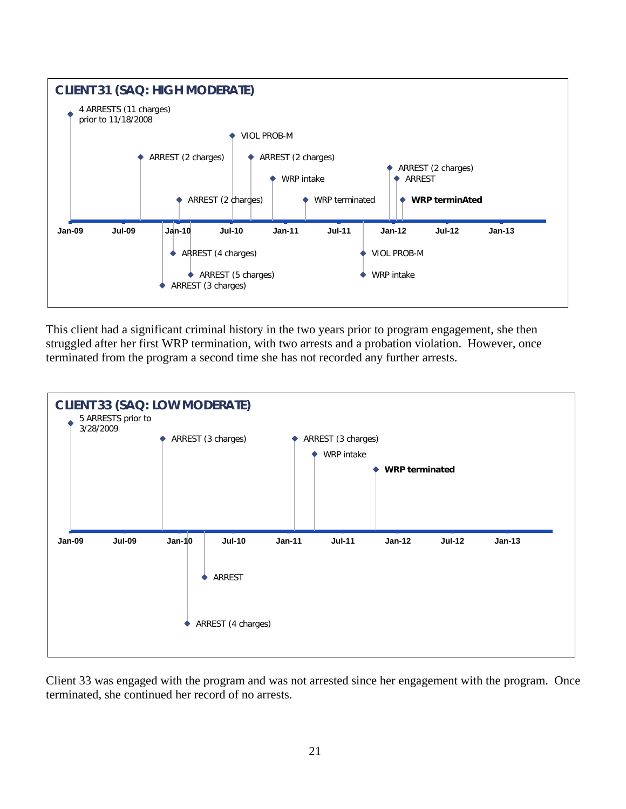

This client had a significant criminal history in the two years prior to program engagement, she then struggled after her first WRP termination, with two arrests and a probation violation. However, once terminated from the program a second time she has not recorded any further arrests.



Client 33 was engaged with the program and was not arrested since her engagement with the program. Once terminated, she continued her record of no arrests.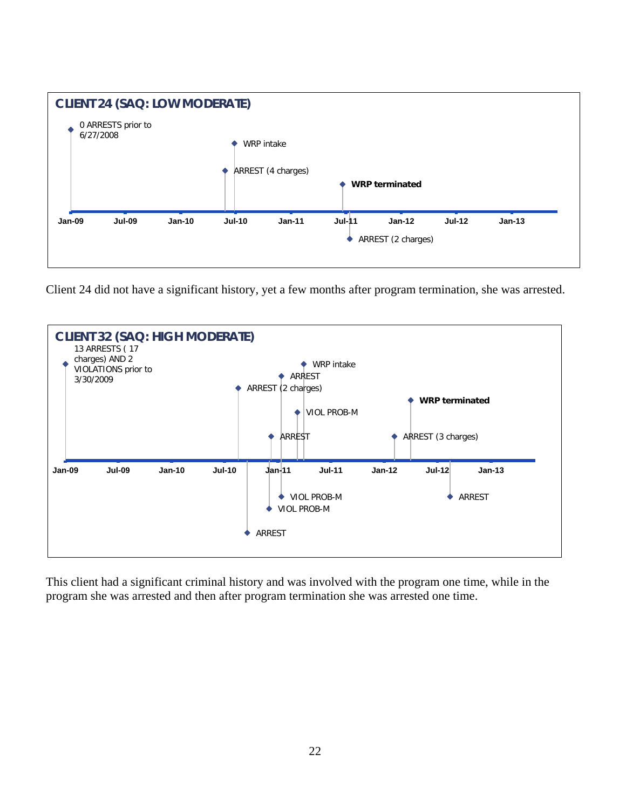

Client 24 did not have a significant history, yet a few months after program termination, she was arrested.



This client had a significant criminal history and was involved with the program one time, while in the program she was arrested and then after program termination she was arrested one time.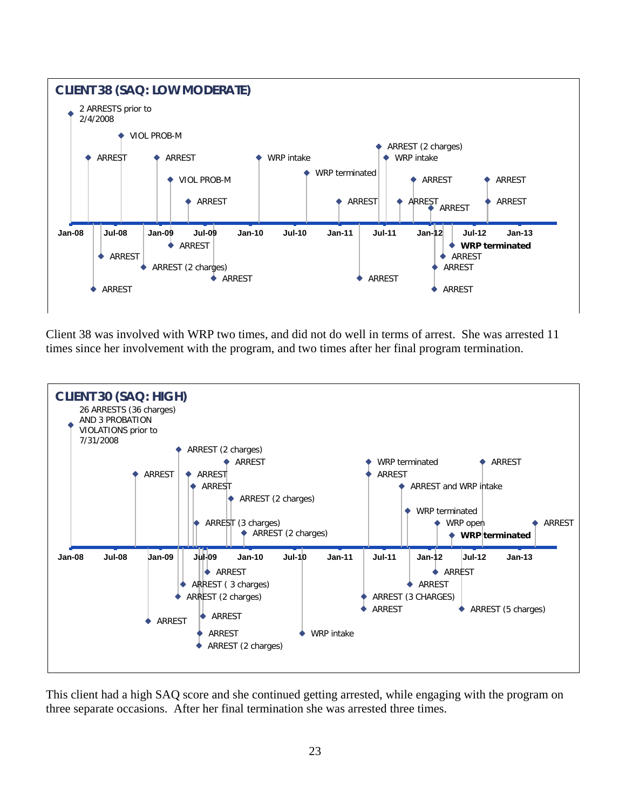

Client 38 was involved with WRP two times, and did not do well in terms of arrest. She was arrested 11 times since her involvement with the program, and two times after her final program termination.



This client had a high SAQ score and she continued getting arrested, while engaging with the program on three separate occasions. After her final termination she was arrested three times.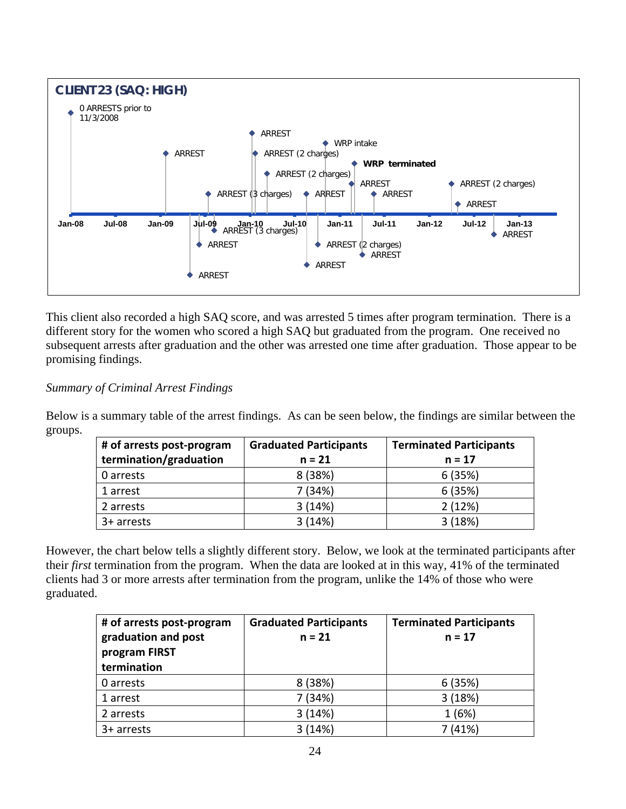

This client also recorded a high SAQ score, and was arrested 5 times after program termination. There is a different story for the women who scored a high SAQ but graduated from the program. One received no subsequent arrests after graduation and the other was arrested one time after graduation. Those appear to be promising findings.

*Summary of Criminal Arrest Findings*

Below is a summary table of the arrest findings. As can be seen below, the findings are similar between the groups.

| # of arrests post-program | <b>Graduated Participants</b> | <b>Terminated Participants</b> |
|---------------------------|-------------------------------|--------------------------------|
| termination/graduation    | $n = 21$                      | $n = 17$                       |
| 0 arrests                 | 8 (38%)                       | 6(35%)                         |
| 1 arrest                  | 7 (34%)                       | 6(35%)                         |
| 2 arrests                 | 3(14%)                        | 2(12%)                         |
| $3+$ arrests              | 3(14%)                        | 3(18%)                         |

However, the chart below tells a slightly different story. Below, we look at the terminated participants after their *first* termination from the program. When the data are looked at in this way, 41% of the terminated clients had 3 or more arrests after termination from the program, unlike the 14% of those who were graduated.

| # of arrests post-program<br>graduation and post<br>program FIRST<br>termination | <b>Graduated Participants</b><br>$n = 21$ | <b>Terminated Participants</b><br>$n = 17$ |
|----------------------------------------------------------------------------------|-------------------------------------------|--------------------------------------------|
| 0 arrests                                                                        | 8 (38%)                                   | 6(35%)                                     |
| 1 arrest                                                                         | 7 (34%)                                   | 3(18%)                                     |
| 2 arrests                                                                        | 3(14%)                                    | 1(6%)                                      |
| $3+$ arrests                                                                     | 3(14%)                                    | 7 (41%)                                    |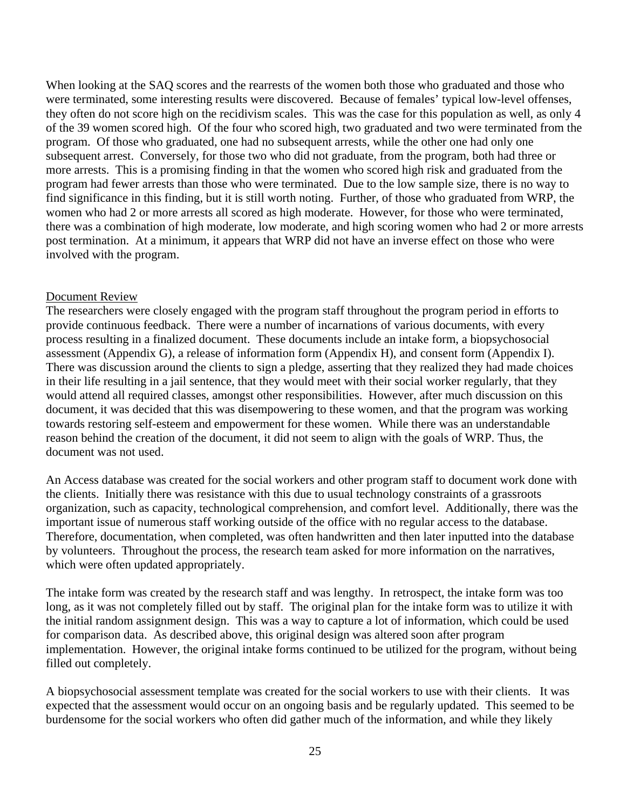When looking at the SAQ scores and the rearrests of the women both those who graduated and those who were terminated, some interesting results were discovered. Because of females' typical low-level offenses, they often do not score high on the recidivism scales. This was the case for this population as well, as only 4 of the 39 women scored high. Of the four who scored high, two graduated and two were terminated from the program. Of those who graduated, one had no subsequent arrests, while the other one had only one subsequent arrest. Conversely, for those two who did not graduate, from the program, both had three or more arrests. This is a promising finding in that the women who scored high risk and graduated from the program had fewer arrests than those who were terminated. Due to the low sample size, there is no way to find significance in this finding, but it is still worth noting. Further, of those who graduated from WRP, the women who had 2 or more arrests all scored as high moderate. However, for those who were terminated, there was a combination of high moderate, low moderate, and high scoring women who had 2 or more arrests post termination. At a minimum, it appears that WRP did not have an inverse effect on those who were involved with the program.

# Document Review

The researchers were closely engaged with the program staff throughout the program period in efforts to provide continuous feedback. There were a number of incarnations of various documents, with every process resulting in a finalized document. These documents include an intake form, a biopsychosocial assessment (Appendix G), a release of information form (Appendix H), and consent form (Appendix I). There was discussion around the clients to sign a pledge, asserting that they realized they had made choices in their life resulting in a jail sentence, that they would meet with their social worker regularly, that they would attend all required classes, amongst other responsibilities. However, after much discussion on this document, it was decided that this was disempowering to these women, and that the program was working towards restoring self-esteem and empowerment for these women. While there was an understandable reason behind the creation of the document, it did not seem to align with the goals of WRP. Thus, the document was not used.

An Access database was created for the social workers and other program staff to document work done with the clients. Initially there was resistance with this due to usual technology constraints of a grassroots organization, such as capacity, technological comprehension, and comfort level. Additionally, there was the important issue of numerous staff working outside of the office with no regular access to the database. Therefore, documentation, when completed, was often handwritten and then later inputted into the database by volunteers. Throughout the process, the research team asked for more information on the narratives, which were often updated appropriately.

The intake form was created by the research staff and was lengthy. In retrospect, the intake form was too long, as it was not completely filled out by staff. The original plan for the intake form was to utilize it with the initial random assignment design. This was a way to capture a lot of information, which could be used for comparison data. As described above, this original design was altered soon after program implementation. However, the original intake forms continued to be utilized for the program, without being filled out completely.

A biopsychosocial assessment template was created for the social workers to use with their clients. It was expected that the assessment would occur on an ongoing basis and be regularly updated. This seemed to be burdensome for the social workers who often did gather much of the information, and while they likely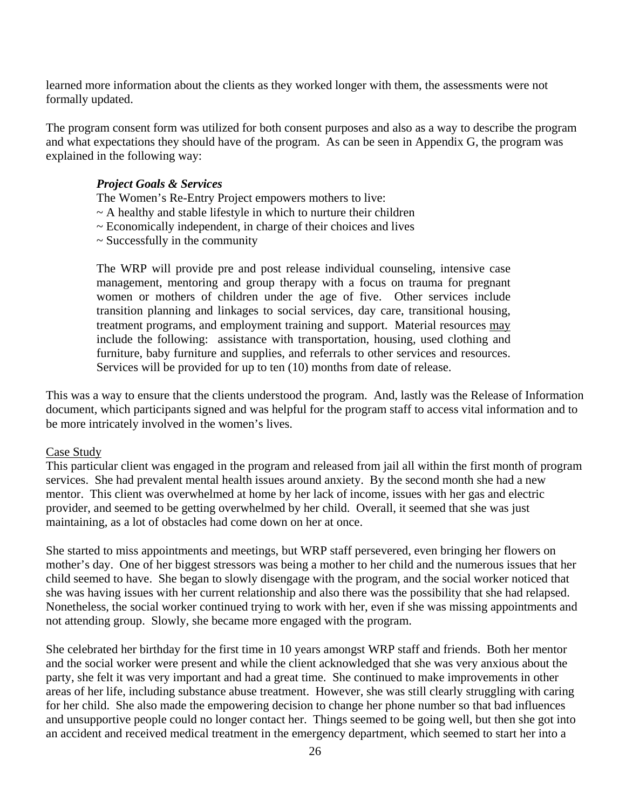learned more information about the clients as they worked longer with them, the assessments were not formally updated.

The program consent form was utilized for both consent purposes and also as a way to describe the program and what expectations they should have of the program. As can be seen in Appendix G, the program was explained in the following way:

#### *Project Goals & Services*

The Women's Re-Entry Project empowers mothers to live:

- $\sim$  A healthy and stable lifestyle in which to nurture their children
- $\sim$  Economically independent, in charge of their choices and lives
- $\sim$  Successfully in the community

The WRP will provide pre and post release individual counseling, intensive case management, mentoring and group therapy with a focus on trauma for pregnant women or mothers of children under the age of five. Other services include transition planning and linkages to social services, day care, transitional housing, treatment programs, and employment training and support. Material resources may include the following: assistance with transportation, housing, used clothing and furniture, baby furniture and supplies, and referrals to other services and resources. Services will be provided for up to ten (10) months from date of release.

This was a way to ensure that the clients understood the program. And, lastly was the Release of Information document, which participants signed and was helpful for the program staff to access vital information and to be more intricately involved in the women's lives.

#### Case Study

This particular client was engaged in the program and released from jail all within the first month of program services. She had prevalent mental health issues around anxiety. By the second month she had a new mentor. This client was overwhelmed at home by her lack of income, issues with her gas and electric provider, and seemed to be getting overwhelmed by her child. Overall, it seemed that she was just maintaining, as a lot of obstacles had come down on her at once.

She started to miss appointments and meetings, but WRP staff persevered, even bringing her flowers on mother's day. One of her biggest stressors was being a mother to her child and the numerous issues that her child seemed to have. She began to slowly disengage with the program, and the social worker noticed that she was having issues with her current relationship and also there was the possibility that she had relapsed. Nonetheless, the social worker continued trying to work with her, even if she was missing appointments and not attending group. Slowly, she became more engaged with the program.

She celebrated her birthday for the first time in 10 years amongst WRP staff and friends. Both her mentor and the social worker were present and while the client acknowledged that she was very anxious about the party, she felt it was very important and had a great time. She continued to make improvements in other areas of her life, including substance abuse treatment. However, she was still clearly struggling with caring for her child. She also made the empowering decision to change her phone number so that bad influences and unsupportive people could no longer contact her. Things seemed to be going well, but then she got into an accident and received medical treatment in the emergency department, which seemed to start her into a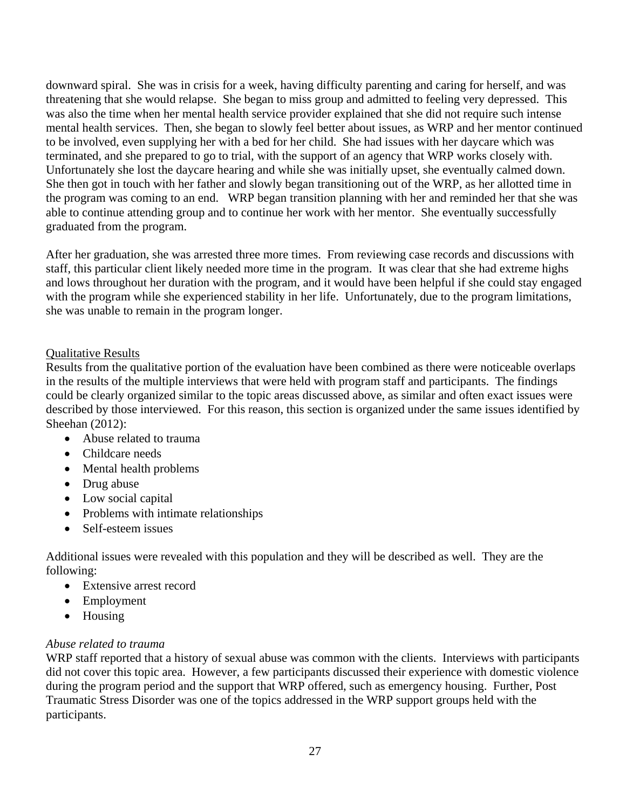downward spiral. She was in crisis for a week, having difficulty parenting and caring for herself, and was threatening that she would relapse. She began to miss group and admitted to feeling very depressed. This was also the time when her mental health service provider explained that she did not require such intense mental health services. Then, she began to slowly feel better about issues, as WRP and her mentor continued to be involved, even supplying her with a bed for her child. She had issues with her daycare which was terminated, and she prepared to go to trial, with the support of an agency that WRP works closely with. Unfortunately she lost the daycare hearing and while she was initially upset, she eventually calmed down. She then got in touch with her father and slowly began transitioning out of the WRP, as her allotted time in the program was coming to an end. WRP began transition planning with her and reminded her that she was able to continue attending group and to continue her work with her mentor. She eventually successfully graduated from the program.

After her graduation, she was arrested three more times. From reviewing case records and discussions with staff, this particular client likely needed more time in the program. It was clear that she had extreme highs and lows throughout her duration with the program, and it would have been helpful if she could stay engaged with the program while she experienced stability in her life. Unfortunately, due to the program limitations, she was unable to remain in the program longer.

# Qualitative Results

Results from the qualitative portion of the evaluation have been combined as there were noticeable overlaps in the results of the multiple interviews that were held with program staff and participants. The findings could be clearly organized similar to the topic areas discussed above, as similar and often exact issues were described by those interviewed. For this reason, this section is organized under the same issues identified by Sheehan (2012):

- Abuse related to trauma
- Childcare needs
- Mental health problems
- Drug abuse
- Low social capital
- Problems with intimate relationships
- Self-esteem issues

Additional issues were revealed with this population and they will be described as well. They are the following:

- Extensive arrest record
- Employment
- Housing

# *Abuse related to trauma*

WRP staff reported that a history of sexual abuse was common with the clients. Interviews with participants did not cover this topic area. However, a few participants discussed their experience with domestic violence during the program period and the support that WRP offered, such as emergency housing. Further, Post Traumatic Stress Disorder was one of the topics addressed in the WRP support groups held with the participants.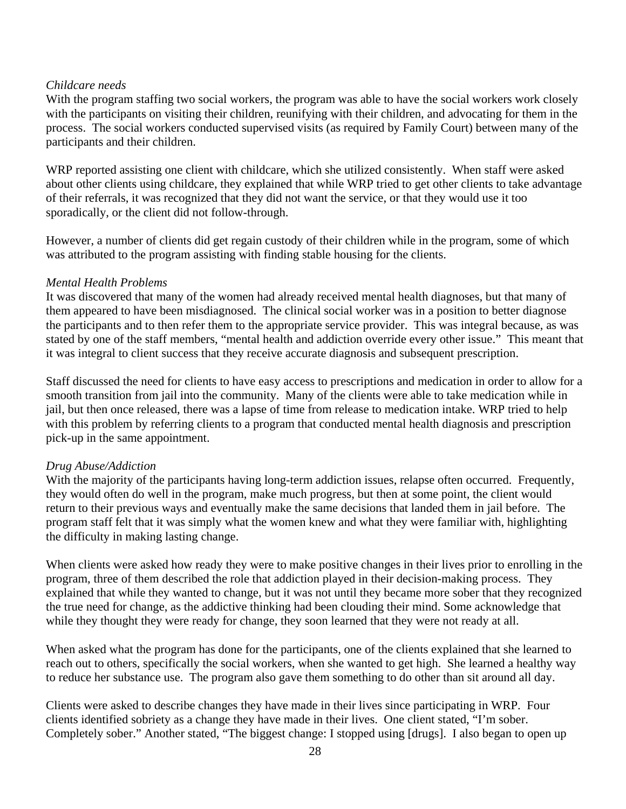# *Childcare needs*

With the program staffing two social workers, the program was able to have the social workers work closely with the participants on visiting their children, reunifying with their children, and advocating for them in the process. The social workers conducted supervised visits (as required by Family Court) between many of the participants and their children.

WRP reported assisting one client with childcare, which she utilized consistently. When staff were asked about other clients using childcare, they explained that while WRP tried to get other clients to take advantage of their referrals, it was recognized that they did not want the service, or that they would use it too sporadically, or the client did not follow-through.

However, a number of clients did get regain custody of their children while in the program, some of which was attributed to the program assisting with finding stable housing for the clients.

# *Mental Health Problems*

It was discovered that many of the women had already received mental health diagnoses, but that many of them appeared to have been misdiagnosed. The clinical social worker was in a position to better diagnose the participants and to then refer them to the appropriate service provider. This was integral because, as was stated by one of the staff members, "mental health and addiction override every other issue." This meant that it was integral to client success that they receive accurate diagnosis and subsequent prescription.

Staff discussed the need for clients to have easy access to prescriptions and medication in order to allow for a smooth transition from jail into the community. Many of the clients were able to take medication while in jail, but then once released, there was a lapse of time from release to medication intake. WRP tried to help with this problem by referring clients to a program that conducted mental health diagnosis and prescription pick-up in the same appointment.

# *Drug Abuse/Addiction*

With the majority of the participants having long-term addiction issues, relapse often occurred. Frequently, they would often do well in the program, make much progress, but then at some point, the client would return to their previous ways and eventually make the same decisions that landed them in jail before. The program staff felt that it was simply what the women knew and what they were familiar with, highlighting the difficulty in making lasting change.

When clients were asked how ready they were to make positive changes in their lives prior to enrolling in the program, three of them described the role that addiction played in their decision-making process. They explained that while they wanted to change, but it was not until they became more sober that they recognized the true need for change, as the addictive thinking had been clouding their mind. Some acknowledge that while they thought they were ready for change, they soon learned that they were not ready at all.

When asked what the program has done for the participants, one of the clients explained that she learned to reach out to others, specifically the social workers, when she wanted to get high. She learned a healthy way to reduce her substance use. The program also gave them something to do other than sit around all day.

Clients were asked to describe changes they have made in their lives since participating in WRP. Four clients identified sobriety as a change they have made in their lives. One client stated, "I'm sober. Completely sober." Another stated, "The biggest change: I stopped using [drugs]. I also began to open up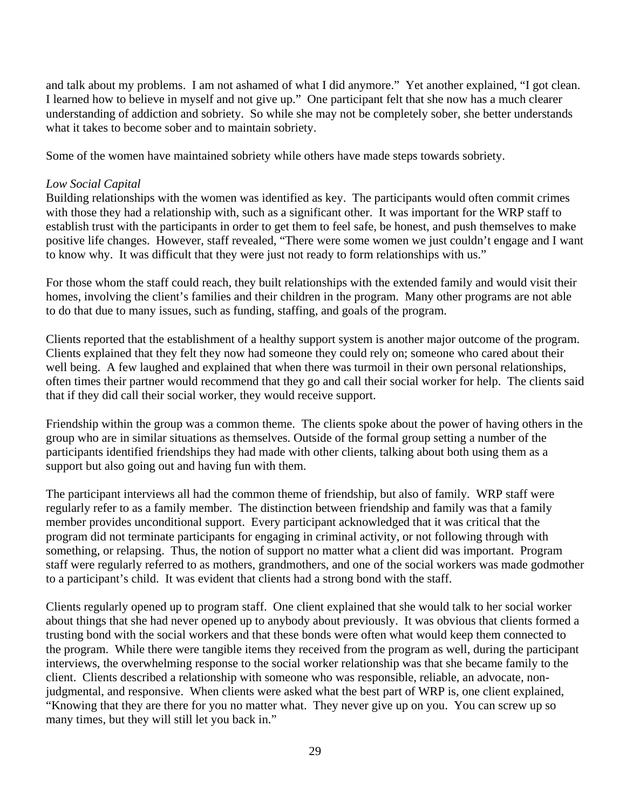and talk about my problems. I am not ashamed of what I did anymore." Yet another explained, "I got clean. I learned how to believe in myself and not give up." One participant felt that she now has a much clearer understanding of addiction and sobriety. So while she may not be completely sober, she better understands what it takes to become sober and to maintain sobriety.

Some of the women have maintained sobriety while others have made steps towards sobriety.

# *Low Social Capital*

Building relationships with the women was identified as key. The participants would often commit crimes with those they had a relationship with, such as a significant other. It was important for the WRP staff to establish trust with the participants in order to get them to feel safe, be honest, and push themselves to make positive life changes. However, staff revealed, "There were some women we just couldn't engage and I want to know why. It was difficult that they were just not ready to form relationships with us."

For those whom the staff could reach, they built relationships with the extended family and would visit their homes, involving the client's families and their children in the program. Many other programs are not able to do that due to many issues, such as funding, staffing, and goals of the program.

Clients reported that the establishment of a healthy support system is another major outcome of the program. Clients explained that they felt they now had someone they could rely on; someone who cared about their well being. A few laughed and explained that when there was turmoil in their own personal relationships, often times their partner would recommend that they go and call their social worker for help. The clients said that if they did call their social worker, they would receive support.

Friendship within the group was a common theme. The clients spoke about the power of having others in the group who are in similar situations as themselves. Outside of the formal group setting a number of the participants identified friendships they had made with other clients, talking about both using them as a support but also going out and having fun with them.

The participant interviews all had the common theme of friendship, but also of family. WRP staff were regularly refer to as a family member. The distinction between friendship and family was that a family member provides unconditional support. Every participant acknowledged that it was critical that the program did not terminate participants for engaging in criminal activity, or not following through with something, or relapsing. Thus, the notion of support no matter what a client did was important. Program staff were regularly referred to as mothers, grandmothers, and one of the social workers was made godmother to a participant's child. It was evident that clients had a strong bond with the staff.

Clients regularly opened up to program staff. One client explained that she would talk to her social worker about things that she had never opened up to anybody about previously. It was obvious that clients formed a trusting bond with the social workers and that these bonds were often what would keep them connected to the program. While there were tangible items they received from the program as well, during the participant interviews, the overwhelming response to the social worker relationship was that she became family to the client. Clients described a relationship with someone who was responsible, reliable, an advocate, nonjudgmental, and responsive. When clients were asked what the best part of WRP is, one client explained, "Knowing that they are there for you no matter what. They never give up on you. You can screw up so many times, but they will still let you back in."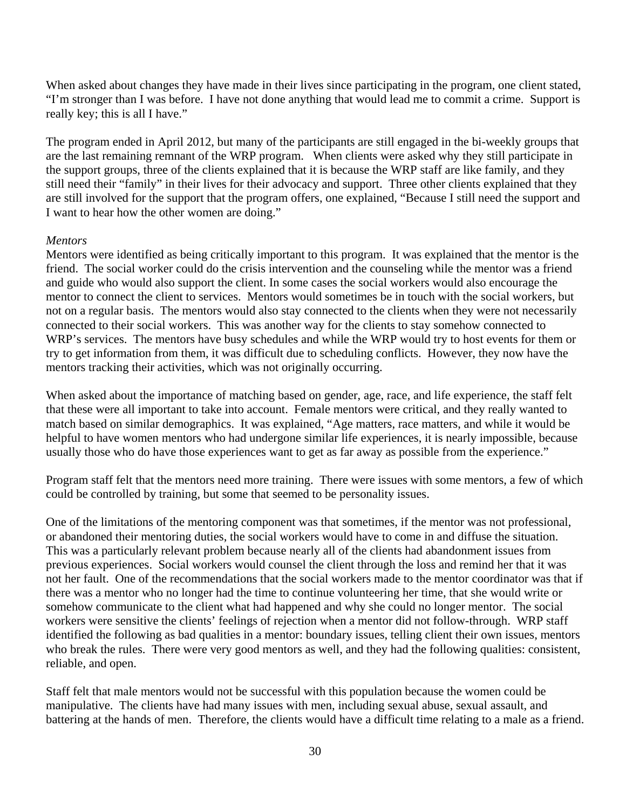When asked about changes they have made in their lives since participating in the program, one client stated, "I'm stronger than I was before. I have not done anything that would lead me to commit a crime. Support is really key; this is all I have."

The program ended in April 2012, but many of the participants are still engaged in the bi-weekly groups that are the last remaining remnant of the WRP program. When clients were asked why they still participate in the support groups, three of the clients explained that it is because the WRP staff are like family, and they still need their "family" in their lives for their advocacy and support. Three other clients explained that they are still involved for the support that the program offers, one explained, "Because I still need the support and I want to hear how the other women are doing."

### *Mentors*

Mentors were identified as being critically important to this program. It was explained that the mentor is the friend. The social worker could do the crisis intervention and the counseling while the mentor was a friend and guide who would also support the client. In some cases the social workers would also encourage the mentor to connect the client to services. Mentors would sometimes be in touch with the social workers, but not on a regular basis. The mentors would also stay connected to the clients when they were not necessarily connected to their social workers. This was another way for the clients to stay somehow connected to WRP's services. The mentors have busy schedules and while the WRP would try to host events for them or try to get information from them, it was difficult due to scheduling conflicts. However, they now have the mentors tracking their activities, which was not originally occurring.

When asked about the importance of matching based on gender, age, race, and life experience, the staff felt that these were all important to take into account. Female mentors were critical, and they really wanted to match based on similar demographics. It was explained, "Age matters, race matters, and while it would be helpful to have women mentors who had undergone similar life experiences, it is nearly impossible, because usually those who do have those experiences want to get as far away as possible from the experience."

Program staff felt that the mentors need more training. There were issues with some mentors, a few of which could be controlled by training, but some that seemed to be personality issues.

One of the limitations of the mentoring component was that sometimes, if the mentor was not professional, or abandoned their mentoring duties, the social workers would have to come in and diffuse the situation. This was a particularly relevant problem because nearly all of the clients had abandonment issues from previous experiences. Social workers would counsel the client through the loss and remind her that it was not her fault. One of the recommendations that the social workers made to the mentor coordinator was that if there was a mentor who no longer had the time to continue volunteering her time, that she would write or somehow communicate to the client what had happened and why she could no longer mentor. The social workers were sensitive the clients' feelings of rejection when a mentor did not follow-through. WRP staff identified the following as bad qualities in a mentor: boundary issues, telling client their own issues, mentors who break the rules. There were very good mentors as well, and they had the following qualities: consistent, reliable, and open.

Staff felt that male mentors would not be successful with this population because the women could be manipulative. The clients have had many issues with men, including sexual abuse, sexual assault, and battering at the hands of men. Therefore, the clients would have a difficult time relating to a male as a friend.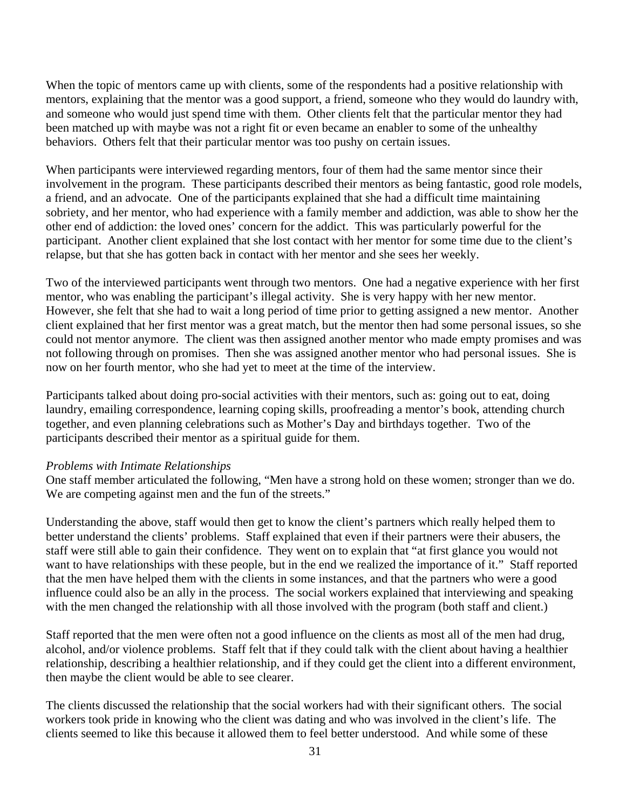When the topic of mentors came up with clients, some of the respondents had a positive relationship with mentors, explaining that the mentor was a good support, a friend, someone who they would do laundry with, and someone who would just spend time with them. Other clients felt that the particular mentor they had been matched up with maybe was not a right fit or even became an enabler to some of the unhealthy behaviors. Others felt that their particular mentor was too pushy on certain issues.

When participants were interviewed regarding mentors, four of them had the same mentor since their involvement in the program. These participants described their mentors as being fantastic, good role models, a friend, and an advocate. One of the participants explained that she had a difficult time maintaining sobriety, and her mentor, who had experience with a family member and addiction, was able to show her the other end of addiction: the loved ones' concern for the addict. This was particularly powerful for the participant. Another client explained that she lost contact with her mentor for some time due to the client's relapse, but that she has gotten back in contact with her mentor and she sees her weekly.

Two of the interviewed participants went through two mentors. One had a negative experience with her first mentor, who was enabling the participant's illegal activity. She is very happy with her new mentor. However, she felt that she had to wait a long period of time prior to getting assigned a new mentor. Another client explained that her first mentor was a great match, but the mentor then had some personal issues, so she could not mentor anymore. The client was then assigned another mentor who made empty promises and was not following through on promises. Then she was assigned another mentor who had personal issues. She is now on her fourth mentor, who she had yet to meet at the time of the interview.

Participants talked about doing pro-social activities with their mentors, such as: going out to eat, doing laundry, emailing correspondence, learning coping skills, proofreading a mentor's book, attending church together, and even planning celebrations such as Mother's Day and birthdays together. Two of the participants described their mentor as a spiritual guide for them.

#### *Problems with Intimate Relationships*

One staff member articulated the following, "Men have a strong hold on these women; stronger than we do. We are competing against men and the fun of the streets."

Understanding the above, staff would then get to know the client's partners which really helped them to better understand the clients' problems. Staff explained that even if their partners were their abusers, the staff were still able to gain their confidence. They went on to explain that "at first glance you would not want to have relationships with these people, but in the end we realized the importance of it." Staff reported that the men have helped them with the clients in some instances, and that the partners who were a good influence could also be an ally in the process. The social workers explained that interviewing and speaking with the men changed the relationship with all those involved with the program (both staff and client.)

Staff reported that the men were often not a good influence on the clients as most all of the men had drug, alcohol, and/or violence problems. Staff felt that if they could talk with the client about having a healthier relationship, describing a healthier relationship, and if they could get the client into a different environment, then maybe the client would be able to see clearer.

The clients discussed the relationship that the social workers had with their significant others. The social workers took pride in knowing who the client was dating and who was involved in the client's life. The clients seemed to like this because it allowed them to feel better understood. And while some of these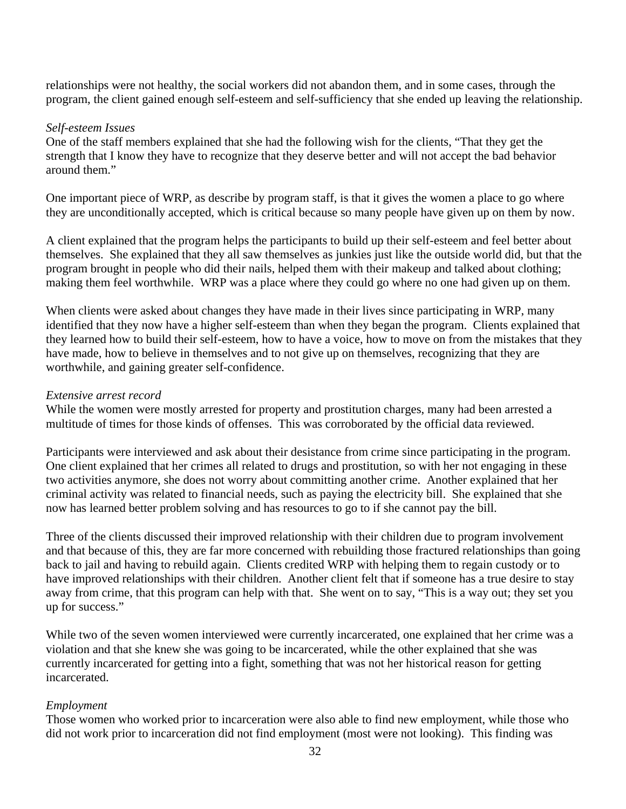relationships were not healthy, the social workers did not abandon them, and in some cases, through the program, the client gained enough self-esteem and self-sufficiency that she ended up leaving the relationship.

#### *Self-esteem Issues*

One of the staff members explained that she had the following wish for the clients, "That they get the strength that I know they have to recognize that they deserve better and will not accept the bad behavior around them."

One important piece of WRP, as describe by program staff, is that it gives the women a place to go where they are unconditionally accepted, which is critical because so many people have given up on them by now.

A client explained that the program helps the participants to build up their self-esteem and feel better about themselves. She explained that they all saw themselves as junkies just like the outside world did, but that the program brought in people who did their nails, helped them with their makeup and talked about clothing; making them feel worthwhile. WRP was a place where they could go where no one had given up on them.

When clients were asked about changes they have made in their lives since participating in WRP, many identified that they now have a higher self-esteem than when they began the program. Clients explained that they learned how to build their self-esteem, how to have a voice, how to move on from the mistakes that they have made, how to believe in themselves and to not give up on themselves, recognizing that they are worthwhile, and gaining greater self-confidence.

### *Extensive arrest record*

While the women were mostly arrested for property and prostitution charges, many had been arrested a multitude of times for those kinds of offenses. This was corroborated by the official data reviewed.

Participants were interviewed and ask about their desistance from crime since participating in the program. One client explained that her crimes all related to drugs and prostitution, so with her not engaging in these two activities anymore, she does not worry about committing another crime. Another explained that her criminal activity was related to financial needs, such as paying the electricity bill. She explained that she now has learned better problem solving and has resources to go to if she cannot pay the bill.

Three of the clients discussed their improved relationship with their children due to program involvement and that because of this, they are far more concerned with rebuilding those fractured relationships than going back to jail and having to rebuild again. Clients credited WRP with helping them to regain custody or to have improved relationships with their children. Another client felt that if someone has a true desire to stay away from crime, that this program can help with that. She went on to say, "This is a way out; they set you up for success."

While two of the seven women interviewed were currently incarcerated, one explained that her crime was a violation and that she knew she was going to be incarcerated, while the other explained that she was currently incarcerated for getting into a fight, something that was not her historical reason for getting incarcerated.

# *Employment*

Those women who worked prior to incarceration were also able to find new employment, while those who did not work prior to incarceration did not find employment (most were not looking). This finding was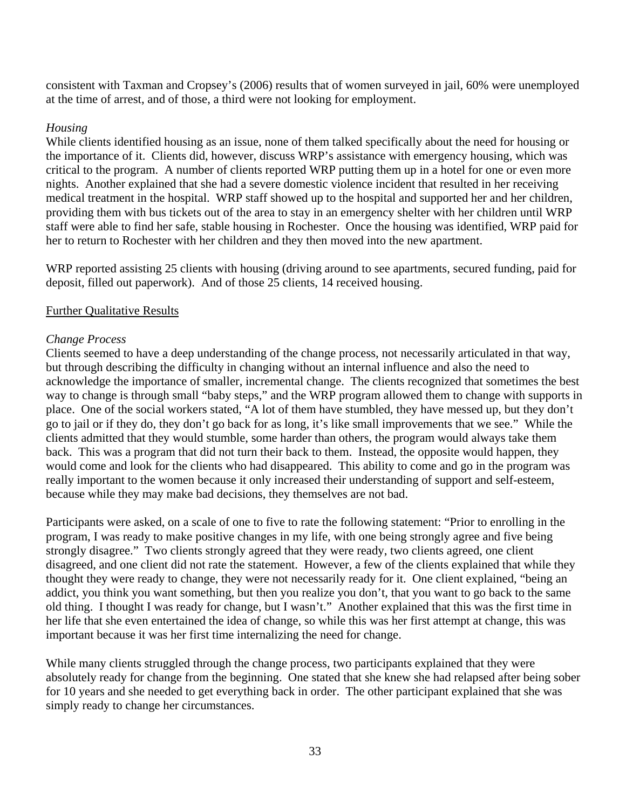consistent with Taxman and Cropsey's (2006) results that of women surveyed in jail, 60% were unemployed at the time of arrest, and of those, a third were not looking for employment.

# *Housing*

While clients identified housing as an issue, none of them talked specifically about the need for housing or the importance of it. Clients did, however, discuss WRP's assistance with emergency housing, which was critical to the program. A number of clients reported WRP putting them up in a hotel for one or even more nights. Another explained that she had a severe domestic violence incident that resulted in her receiving medical treatment in the hospital. WRP staff showed up to the hospital and supported her and her children, providing them with bus tickets out of the area to stay in an emergency shelter with her children until WRP staff were able to find her safe, stable housing in Rochester. Once the housing was identified, WRP paid for her to return to Rochester with her children and they then moved into the new apartment.

WRP reported assisting 25 clients with housing (driving around to see apartments, secured funding, paid for deposit, filled out paperwork). And of those 25 clients, 14 received housing.

# Further Qualitative Results

# *Change Process*

Clients seemed to have a deep understanding of the change process, not necessarily articulated in that way, but through describing the difficulty in changing without an internal influence and also the need to acknowledge the importance of smaller, incremental change. The clients recognized that sometimes the best way to change is through small "baby steps," and the WRP program allowed them to change with supports in place. One of the social workers stated, "A lot of them have stumbled, they have messed up, but they don't go to jail or if they do, they don't go back for as long, it's like small improvements that we see." While the clients admitted that they would stumble, some harder than others, the program would always take them back. This was a program that did not turn their back to them. Instead, the opposite would happen, they would come and look for the clients who had disappeared. This ability to come and go in the program was really important to the women because it only increased their understanding of support and self-esteem, because while they may make bad decisions, they themselves are not bad.

Participants were asked, on a scale of one to five to rate the following statement: "Prior to enrolling in the program, I was ready to make positive changes in my life, with one being strongly agree and five being strongly disagree." Two clients strongly agreed that they were ready, two clients agreed, one client disagreed, and one client did not rate the statement. However, a few of the clients explained that while they thought they were ready to change, they were not necessarily ready for it. One client explained, "being an addict, you think you want something, but then you realize you don't, that you want to go back to the same old thing. I thought I was ready for change, but I wasn't." Another explained that this was the first time in her life that she even entertained the idea of change, so while this was her first attempt at change, this was important because it was her first time internalizing the need for change.

While many clients struggled through the change process, two participants explained that they were absolutely ready for change from the beginning. One stated that she knew she had relapsed after being sober for 10 years and she needed to get everything back in order. The other participant explained that she was simply ready to change her circumstances.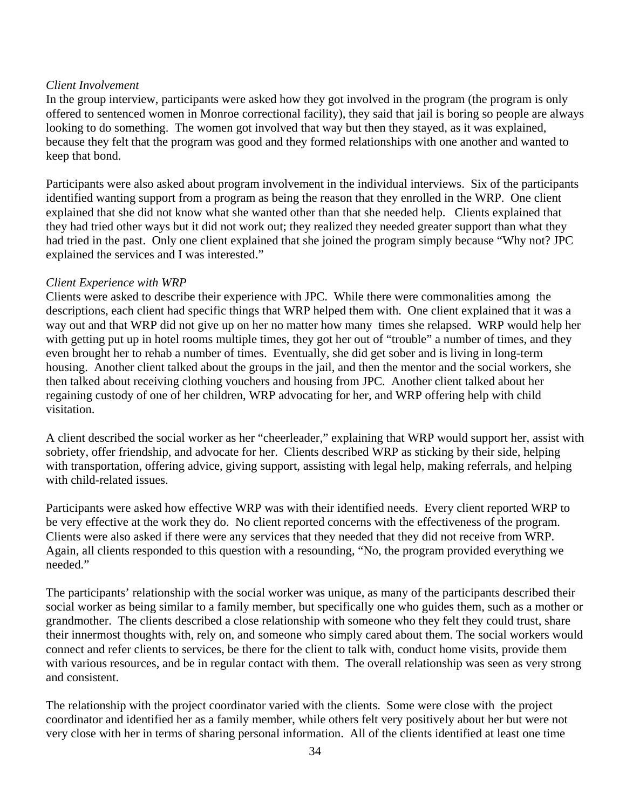# *Client Involvement*

In the group interview, participants were asked how they got involved in the program (the program is only offered to sentenced women in Monroe correctional facility), they said that jail is boring so people are always looking to do something. The women got involved that way but then they stayed, as it was explained, because they felt that the program was good and they formed relationships with one another and wanted to keep that bond.

Participants were also asked about program involvement in the individual interviews. Six of the participants identified wanting support from a program as being the reason that they enrolled in the WRP. One client explained that she did not know what she wanted other than that she needed help. Clients explained that they had tried other ways but it did not work out; they realized they needed greater support than what they had tried in the past. Only one client explained that she joined the program simply because "Why not? JPC explained the services and I was interested."

# *Client Experience with WRP*

Clients were asked to describe their experience with JPC. While there were commonalities among the descriptions, each client had specific things that WRP helped them with. One client explained that it was a way out and that WRP did not give up on her no matter how many times she relapsed. WRP would help her with getting put up in hotel rooms multiple times, they got her out of "trouble" a number of times, and they even brought her to rehab a number of times. Eventually, she did get sober and is living in long-term housing. Another client talked about the groups in the jail, and then the mentor and the social workers, she then talked about receiving clothing vouchers and housing from JPC. Another client talked about her regaining custody of one of her children, WRP advocating for her, and WRP offering help with child visitation.

A client described the social worker as her "cheerleader," explaining that WRP would support her, assist with sobriety, offer friendship, and advocate for her. Clients described WRP as sticking by their side, helping with transportation, offering advice, giving support, assisting with legal help, making referrals, and helping with child-related issues.

Participants were asked how effective WRP was with their identified needs. Every client reported WRP to be very effective at the work they do. No client reported concerns with the effectiveness of the program. Clients were also asked if there were any services that they needed that they did not receive from WRP. Again, all clients responded to this question with a resounding, "No, the program provided everything we needed."

The participants' relationship with the social worker was unique, as many of the participants described their social worker as being similar to a family member, but specifically one who guides them, such as a mother or grandmother. The clients described a close relationship with someone who they felt they could trust, share their innermost thoughts with, rely on, and someone who simply cared about them. The social workers would connect and refer clients to services, be there for the client to talk with, conduct home visits, provide them with various resources, and be in regular contact with them. The overall relationship was seen as very strong and consistent.

The relationship with the project coordinator varied with the clients. Some were close with the project coordinator and identified her as a family member, while others felt very positively about her but were not very close with her in terms of sharing personal information. All of the clients identified at least one time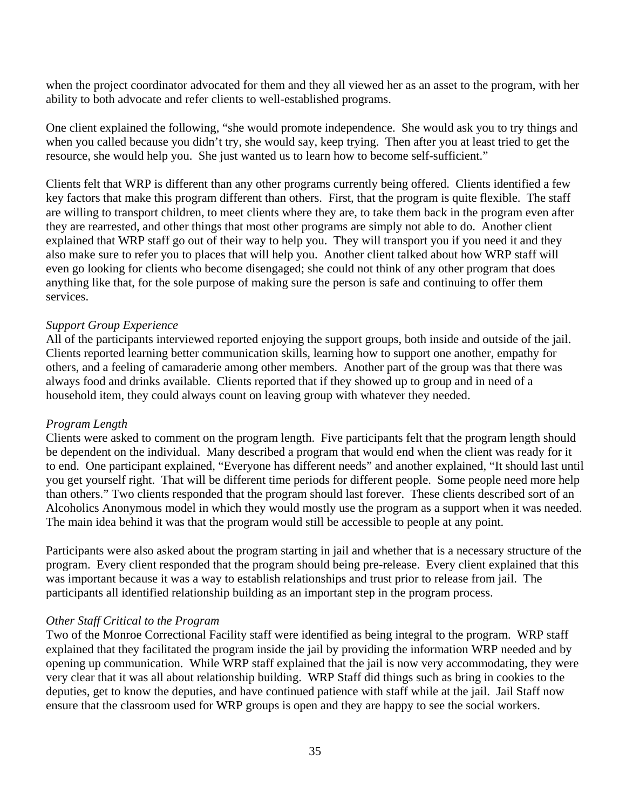when the project coordinator advocated for them and they all viewed her as an asset to the program, with her ability to both advocate and refer clients to well-established programs.

One client explained the following, "she would promote independence. She would ask you to try things and when you called because you didn't try, she would say, keep trying. Then after you at least tried to get the resource, she would help you. She just wanted us to learn how to become self-sufficient."

Clients felt that WRP is different than any other programs currently being offered. Clients identified a few key factors that make this program different than others. First, that the program is quite flexible. The staff are willing to transport children, to meet clients where they are, to take them back in the program even after they are rearrested, and other things that most other programs are simply not able to do. Another client explained that WRP staff go out of their way to help you. They will transport you if you need it and they also make sure to refer you to places that will help you. Another client talked about how WRP staff will even go looking for clients who become disengaged; she could not think of any other program that does anything like that, for the sole purpose of making sure the person is safe and continuing to offer them services.

### *Support Group Experience*

All of the participants interviewed reported enjoying the support groups, both inside and outside of the jail. Clients reported learning better communication skills, learning how to support one another, empathy for others, and a feeling of camaraderie among other members. Another part of the group was that there was always food and drinks available. Clients reported that if they showed up to group and in need of a household item, they could always count on leaving group with whatever they needed.

#### *Program Length*

Clients were asked to comment on the program length. Five participants felt that the program length should be dependent on the individual. Many described a program that would end when the client was ready for it to end. One participant explained, "Everyone has different needs" and another explained, "It should last until you get yourself right. That will be different time periods for different people. Some people need more help than others." Two clients responded that the program should last forever. These clients described sort of an Alcoholics Anonymous model in which they would mostly use the program as a support when it was needed. The main idea behind it was that the program would still be accessible to people at any point.

Participants were also asked about the program starting in jail and whether that is a necessary structure of the program. Every client responded that the program should being pre-release. Every client explained that this was important because it was a way to establish relationships and trust prior to release from jail. The participants all identified relationship building as an important step in the program process.

#### *Other Staff Critical to the Program*

Two of the Monroe Correctional Facility staff were identified as being integral to the program. WRP staff explained that they facilitated the program inside the jail by providing the information WRP needed and by opening up communication. While WRP staff explained that the jail is now very accommodating, they were very clear that it was all about relationship building. WRP Staff did things such as bring in cookies to the deputies, get to know the deputies, and have continued patience with staff while at the jail. Jail Staff now ensure that the classroom used for WRP groups is open and they are happy to see the social workers.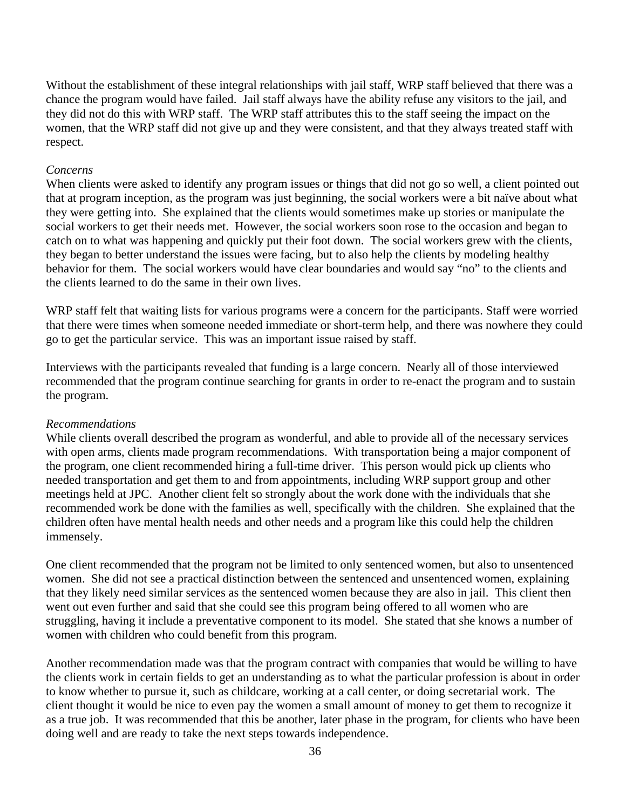Without the establishment of these integral relationships with jail staff, WRP staff believed that there was a chance the program would have failed. Jail staff always have the ability refuse any visitors to the jail, and they did not do this with WRP staff. The WRP staff attributes this to the staff seeing the impact on the women, that the WRP staff did not give up and they were consistent, and that they always treated staff with respect.

#### *Concerns*

When clients were asked to identify any program issues or things that did not go so well, a client pointed out that at program inception, as the program was just beginning, the social workers were a bit naïve about what they were getting into. She explained that the clients would sometimes make up stories or manipulate the social workers to get their needs met. However, the social workers soon rose to the occasion and began to catch on to what was happening and quickly put their foot down. The social workers grew with the clients, they began to better understand the issues were facing, but to also help the clients by modeling healthy behavior for them. The social workers would have clear boundaries and would say "no" to the clients and the clients learned to do the same in their own lives.

WRP staff felt that waiting lists for various programs were a concern for the participants. Staff were worried that there were times when someone needed immediate or short-term help, and there was nowhere they could go to get the particular service. This was an important issue raised by staff.

Interviews with the participants revealed that funding is a large concern. Nearly all of those interviewed recommended that the program continue searching for grants in order to re-enact the program and to sustain the program.

#### *Recommendations*

While clients overall described the program as wonderful, and able to provide all of the necessary services with open arms, clients made program recommendations. With transportation being a major component of the program, one client recommended hiring a full-time driver. This person would pick up clients who needed transportation and get them to and from appointments, including WRP support group and other meetings held at JPC. Another client felt so strongly about the work done with the individuals that she recommended work be done with the families as well, specifically with the children. She explained that the children often have mental health needs and other needs and a program like this could help the children immensely.

One client recommended that the program not be limited to only sentenced women, but also to unsentenced women. She did not see a practical distinction between the sentenced and unsentenced women, explaining that they likely need similar services as the sentenced women because they are also in jail. This client then went out even further and said that she could see this program being offered to all women who are struggling, having it include a preventative component to its model. She stated that she knows a number of women with children who could benefit from this program.

Another recommendation made was that the program contract with companies that would be willing to have the clients work in certain fields to get an understanding as to what the particular profession is about in order to know whether to pursue it, such as childcare, working at a call center, or doing secretarial work. The client thought it would be nice to even pay the women a small amount of money to get them to recognize it as a true job. It was recommended that this be another, later phase in the program, for clients who have been doing well and are ready to take the next steps towards independence.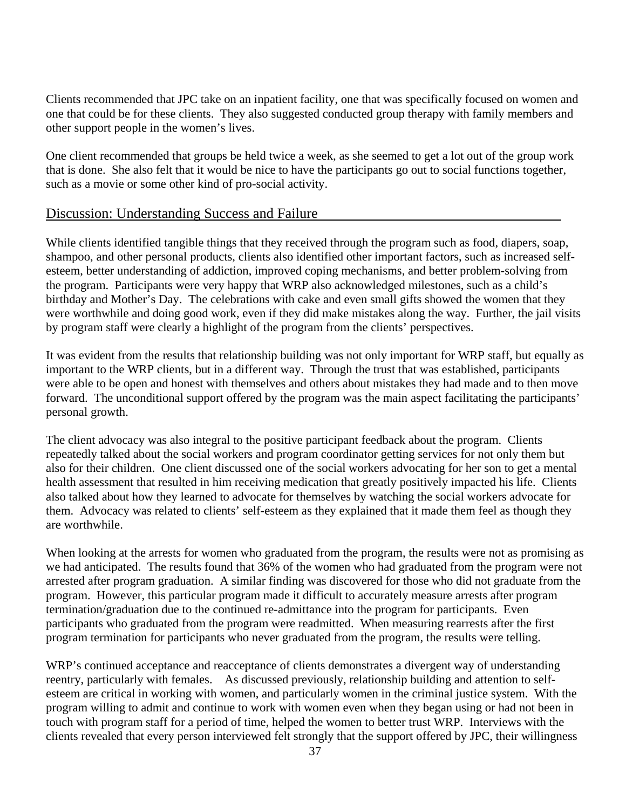Clients recommended that JPC take on an inpatient facility, one that was specifically focused on women and one that could be for these clients. They also suggested conducted group therapy with family members and other support people in the women's lives.

One client recommended that groups be held twice a week, as she seemed to get a lot out of the group work that is done. She also felt that it would be nice to have the participants go out to social functions together, such as a movie or some other kind of pro-social activity.

## Discussion: Understanding Success and Failure

While clients identified tangible things that they received through the program such as food, diapers, soap, shampoo, and other personal products, clients also identified other important factors, such as increased selfesteem, better understanding of addiction, improved coping mechanisms, and better problem-solving from the program. Participants were very happy that WRP also acknowledged milestones, such as a child's birthday and Mother's Day. The celebrations with cake and even small gifts showed the women that they were worthwhile and doing good work, even if they did make mistakes along the way. Further, the jail visits by program staff were clearly a highlight of the program from the clients' perspectives.

It was evident from the results that relationship building was not only important for WRP staff, but equally as important to the WRP clients, but in a different way. Through the trust that was established, participants were able to be open and honest with themselves and others about mistakes they had made and to then move forward. The unconditional support offered by the program was the main aspect facilitating the participants' personal growth.

The client advocacy was also integral to the positive participant feedback about the program. Clients repeatedly talked about the social workers and program coordinator getting services for not only them but also for their children. One client discussed one of the social workers advocating for her son to get a mental health assessment that resulted in him receiving medication that greatly positively impacted his life. Clients also talked about how they learned to advocate for themselves by watching the social workers advocate for them. Advocacy was related to clients' self-esteem as they explained that it made them feel as though they are worthwhile.

When looking at the arrests for women who graduated from the program, the results were not as promising as we had anticipated. The results found that 36% of the women who had graduated from the program were not arrested after program graduation. A similar finding was discovered for those who did not graduate from the program. However, this particular program made it difficult to accurately measure arrests after program termination/graduation due to the continued re-admittance into the program for participants. Even participants who graduated from the program were readmitted. When measuring rearrests after the first program termination for participants who never graduated from the program, the results were telling.

WRP's continued acceptance and reacceptance of clients demonstrates a divergent way of understanding reentry, particularly with females. As discussed previously, relationship building and attention to selfesteem are critical in working with women, and particularly women in the criminal justice system. With the program willing to admit and continue to work with women even when they began using or had not been in touch with program staff for a period of time, helped the women to better trust WRP. Interviews with the clients revealed that every person interviewed felt strongly that the support offered by JPC, their willingness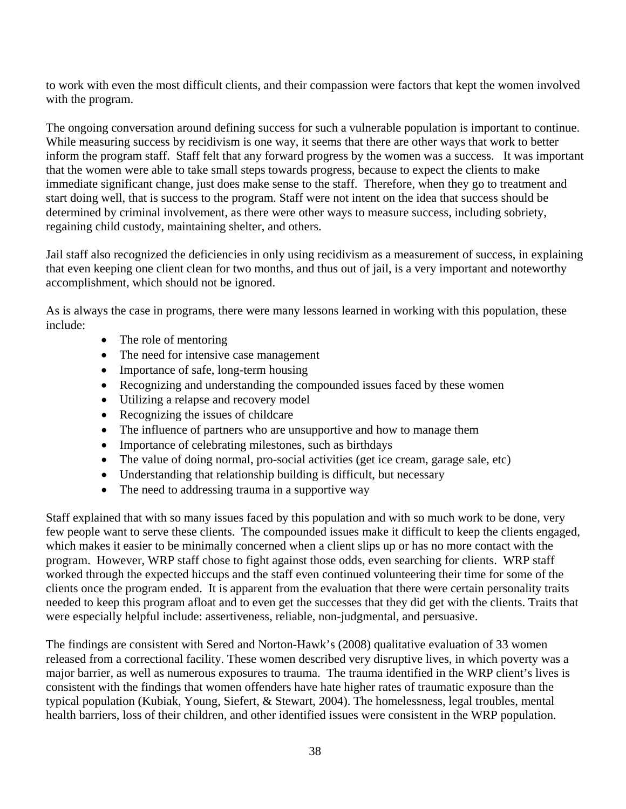to work with even the most difficult clients, and their compassion were factors that kept the women involved with the program.

The ongoing conversation around defining success for such a vulnerable population is important to continue. While measuring success by recidivism is one way, it seems that there are other ways that work to better inform the program staff. Staff felt that any forward progress by the women was a success. It was important that the women were able to take small steps towards progress, because to expect the clients to make immediate significant change, just does make sense to the staff. Therefore, when they go to treatment and start doing well, that is success to the program. Staff were not intent on the idea that success should be determined by criminal involvement, as there were other ways to measure success, including sobriety, regaining child custody, maintaining shelter, and others.

Jail staff also recognized the deficiencies in only using recidivism as a measurement of success, in explaining that even keeping one client clean for two months, and thus out of jail, is a very important and noteworthy accomplishment, which should not be ignored.

As is always the case in programs, there were many lessons learned in working with this population, these include:

- The role of mentoring
- The need for intensive case management
- Importance of safe, long-term housing
- Recognizing and understanding the compounded issues faced by these women
- Utilizing a relapse and recovery model
- Recognizing the issues of childcare
- The influence of partners who are unsupportive and how to manage them
- Importance of celebrating milestones, such as birthdays
- The value of doing normal, pro-social activities (get ice cream, garage sale, etc)
- Understanding that relationship building is difficult, but necessary
- The need to addressing trauma in a supportive way

Staff explained that with so many issues faced by this population and with so much work to be done, very few people want to serve these clients. The compounded issues make it difficult to keep the clients engaged, which makes it easier to be minimally concerned when a client slips up or has no more contact with the program. However, WRP staff chose to fight against those odds, even searching for clients. WRP staff worked through the expected hiccups and the staff even continued volunteering their time for some of the clients once the program ended. It is apparent from the evaluation that there were certain personality traits needed to keep this program afloat and to even get the successes that they did get with the clients. Traits that were especially helpful include: assertiveness, reliable, non-judgmental, and persuasive.

The findings are consistent with Sered and Norton-Hawk's (2008) qualitative evaluation of 33 women released from a correctional facility. These women described very disruptive lives, in which poverty was a major barrier, as well as numerous exposures to trauma. The trauma identified in the WRP client's lives is consistent with the findings that women offenders have hate higher rates of traumatic exposure than the typical population (Kubiak, Young, Siefert, & Stewart, 2004). The homelessness, legal troubles, mental health barriers, loss of their children, and other identified issues were consistent in the WRP population.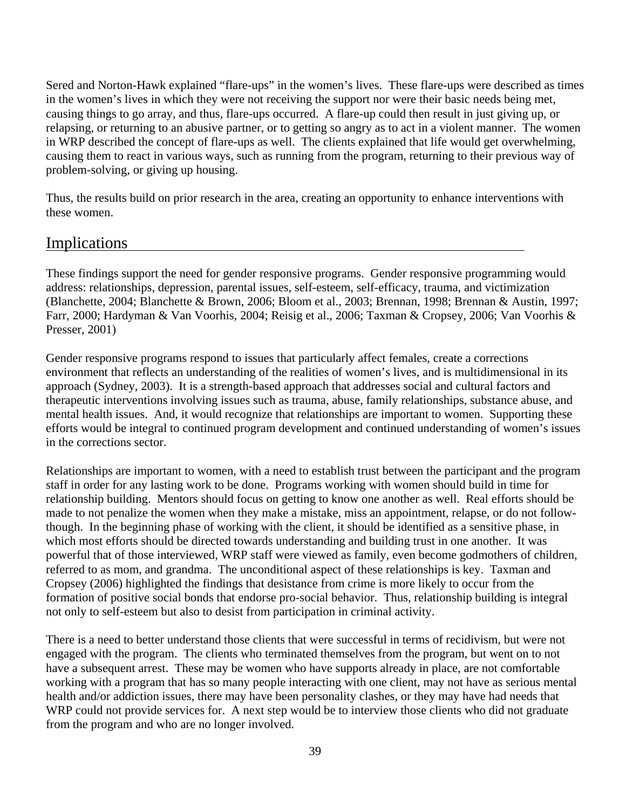Sered and Norton-Hawk explained "flare-ups" in the women's lives. These flare-ups were described as times in the women's lives in which they were not receiving the support nor were their basic needs being met, causing things to go array, and thus, flare-ups occurred. A flare-up could then result in just giving up, or relapsing, or returning to an abusive partner, or to getting so angry as to act in a violent manner. The women in WRP described the concept of flare-ups as well. The clients explained that life would get overwhelming, causing them to react in various ways, such as running from the program, returning to their previous way of problem-solving, or giving up housing.

Thus, the results build on prior research in the area, creating an opportunity to enhance interventions with these women.

# Implications

These findings support the need for gender responsive programs. Gender responsive programming would address: relationships, depression, parental issues, self-esteem, self-efficacy, trauma, and victimization (Blanchette, 2004; Blanchette & Brown, 2006; Bloom et al., 2003; Brennan, 1998; Brennan & Austin, 1997; Farr, 2000; Hardyman & Van Voorhis, 2004; Reisig et al., 2006; Taxman & Cropsey, 2006; Van Voorhis & Presser, 2001)

Gender responsive programs respond to issues that particularly affect females, create a corrections environment that reflects an understanding of the realities of women's lives, and is multidimensional in its approach (Sydney, 2003). It is a strength-based approach that addresses social and cultural factors and therapeutic interventions involving issues such as trauma, abuse, family relationships, substance abuse, and mental health issues. And, it would recognize that relationships are important to women. Supporting these efforts would be integral to continued program development and continued understanding of women's issues in the corrections sector.

Relationships are important to women, with a need to establish trust between the participant and the program staff in order for any lasting work to be done. Programs working with women should build in time for relationship building. Mentors should focus on getting to know one another as well. Real efforts should be made to not penalize the women when they make a mistake, miss an appointment, relapse, or do not followthough. In the beginning phase of working with the client, it should be identified as a sensitive phase, in which most efforts should be directed towards understanding and building trust in one another. It was powerful that of those interviewed, WRP staff were viewed as family, even become godmothers of children, referred to as mom, and grandma. The unconditional aspect of these relationships is key. Taxman and Cropsey (2006) highlighted the findings that desistance from crime is more likely to occur from the formation of positive social bonds that endorse pro-social behavior. Thus, relationship building is integral not only to self-esteem but also to desist from participation in criminal activity.

There is a need to better understand those clients that were successful in terms of recidivism, but were not engaged with the program. The clients who terminated themselves from the program, but went on to not have a subsequent arrest. These may be women who have supports already in place, are not comfortable working with a program that has so many people interacting with one client, may not have as serious mental health and/or addiction issues, there may have been personality clashes, or they may have had needs that WRP could not provide services for. A next step would be to interview those clients who did not graduate from the program and who are no longer involved.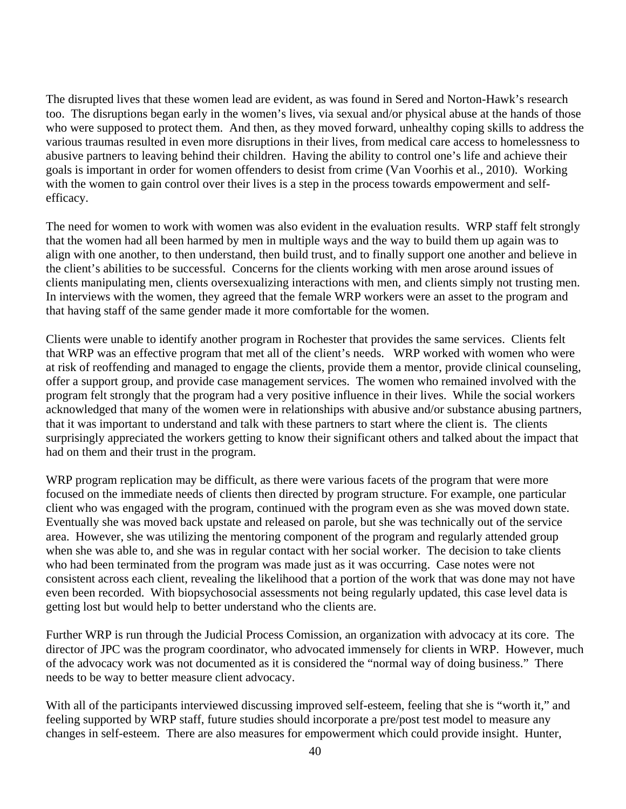The disrupted lives that these women lead are evident, as was found in Sered and Norton-Hawk's research too. The disruptions began early in the women's lives, via sexual and/or physical abuse at the hands of those who were supposed to protect them. And then, as they moved forward, unhealthy coping skills to address the various traumas resulted in even more disruptions in their lives, from medical care access to homelessness to abusive partners to leaving behind their children. Having the ability to control one's life and achieve their goals is important in order for women offenders to desist from crime (Van Voorhis et al., 2010). Working with the women to gain control over their lives is a step in the process towards empowerment and selfefficacy.

The need for women to work with women was also evident in the evaluation results. WRP staff felt strongly that the women had all been harmed by men in multiple ways and the way to build them up again was to align with one another, to then understand, then build trust, and to finally support one another and believe in the client's abilities to be successful. Concerns for the clients working with men arose around issues of clients manipulating men, clients oversexualizing interactions with men, and clients simply not trusting men. In interviews with the women, they agreed that the female WRP workers were an asset to the program and that having staff of the same gender made it more comfortable for the women.

Clients were unable to identify another program in Rochester that provides the same services. Clients felt that WRP was an effective program that met all of the client's needs. WRP worked with women who were at risk of reoffending and managed to engage the clients, provide them a mentor, provide clinical counseling, offer a support group, and provide case management services. The women who remained involved with the program felt strongly that the program had a very positive influence in their lives. While the social workers acknowledged that many of the women were in relationships with abusive and/or substance abusing partners, that it was important to understand and talk with these partners to start where the client is. The clients surprisingly appreciated the workers getting to know their significant others and talked about the impact that had on them and their trust in the program.

WRP program replication may be difficult, as there were various facets of the program that were more focused on the immediate needs of clients then directed by program structure. For example, one particular client who was engaged with the program, continued with the program even as she was moved down state. Eventually she was moved back upstate and released on parole, but she was technically out of the service area. However, she was utilizing the mentoring component of the program and regularly attended group when she was able to, and she was in regular contact with her social worker. The decision to take clients who had been terminated from the program was made just as it was occurring. Case notes were not consistent across each client, revealing the likelihood that a portion of the work that was done may not have even been recorded. With biopsychosocial assessments not being regularly updated, this case level data is getting lost but would help to better understand who the clients are.

Further WRP is run through the Judicial Process Comission, an organization with advocacy at its core. The director of JPC was the program coordinator, who advocated immensely for clients in WRP. However, much of the advocacy work was not documented as it is considered the "normal way of doing business." There needs to be way to better measure client advocacy.

With all of the participants interviewed discussing improved self-esteem, feeling that she is "worth it," and feeling supported by WRP staff, future studies should incorporate a pre/post test model to measure any changes in self-esteem. There are also measures for empowerment which could provide insight. Hunter,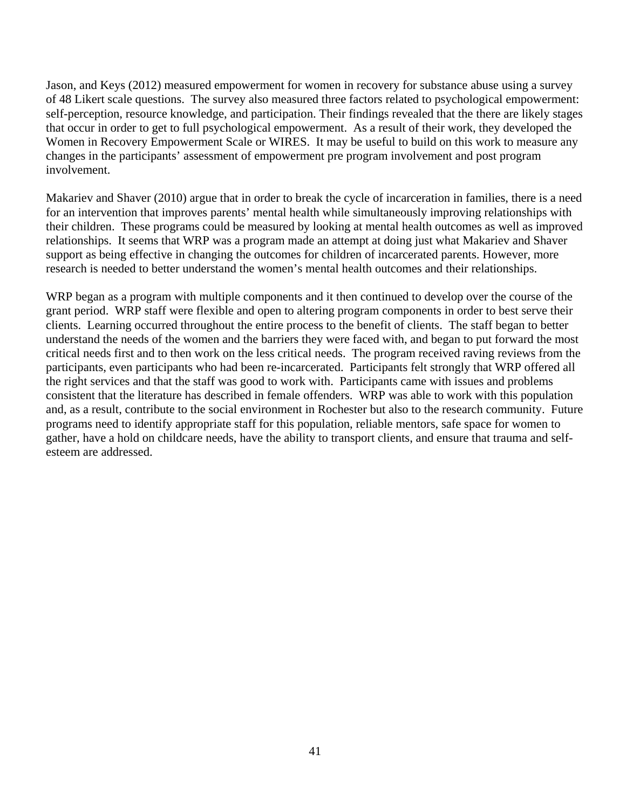Jason, and Keys (2012) measured empowerment for women in recovery for substance abuse using a survey of 48 Likert scale questions. The survey also measured three factors related to psychological empowerment: self-perception, resource knowledge, and participation. Their findings revealed that the there are likely stages that occur in order to get to full psychological empowerment. As a result of their work, they developed the Women in Recovery Empowerment Scale or WIRES. It may be useful to build on this work to measure any changes in the participants' assessment of empowerment pre program involvement and post program involvement.

Makariev and Shaver (2010) argue that in order to break the cycle of incarceration in families, there is a need for an intervention that improves parents' mental health while simultaneously improving relationships with their children. These programs could be measured by looking at mental health outcomes as well as improved relationships. It seems that WRP was a program made an attempt at doing just what Makariev and Shaver support as being effective in changing the outcomes for children of incarcerated parents. However, more research is needed to better understand the women's mental health outcomes and their relationships.

WRP began as a program with multiple components and it then continued to develop over the course of the grant period. WRP staff were flexible and open to altering program components in order to best serve their clients. Learning occurred throughout the entire process to the benefit of clients. The staff began to better understand the needs of the women and the barriers they were faced with, and began to put forward the most critical needs first and to then work on the less critical needs. The program received raving reviews from the participants, even participants who had been re-incarcerated. Participants felt strongly that WRP offered all the right services and that the staff was good to work with. Participants came with issues and problems consistent that the literature has described in female offenders. WRP was able to work with this population and, as a result, contribute to the social environment in Rochester but also to the research community. Future programs need to identify appropriate staff for this population, reliable mentors, safe space for women to gather, have a hold on childcare needs, have the ability to transport clients, and ensure that trauma and selfesteem are addressed.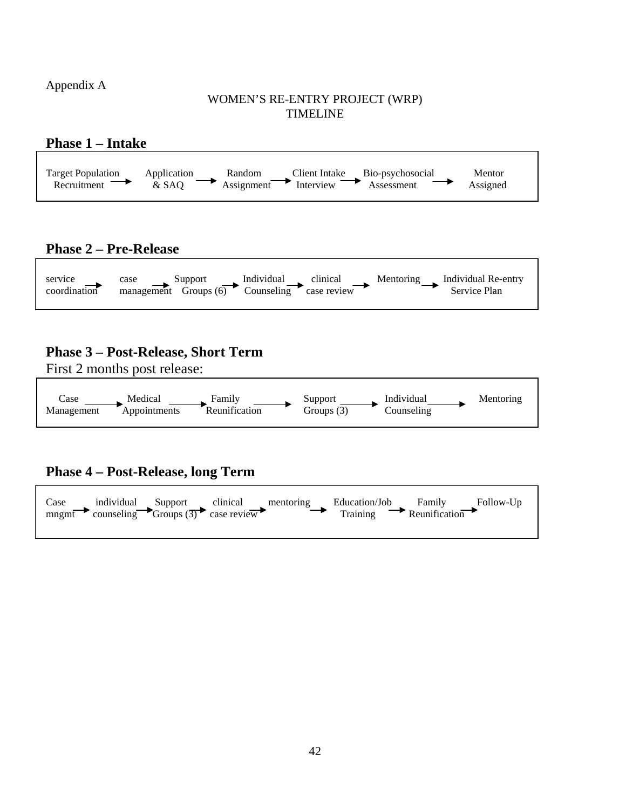Appendix A

### WOMEN'S RE-ENTRY PROJECT (WRP) TIMELINE



# **Phase 2 – Pre-Release**



# **Phase 3 – Post-Release, Short Term**

First 2 months post release:



**Phase 4 – Post-Release, long Term**

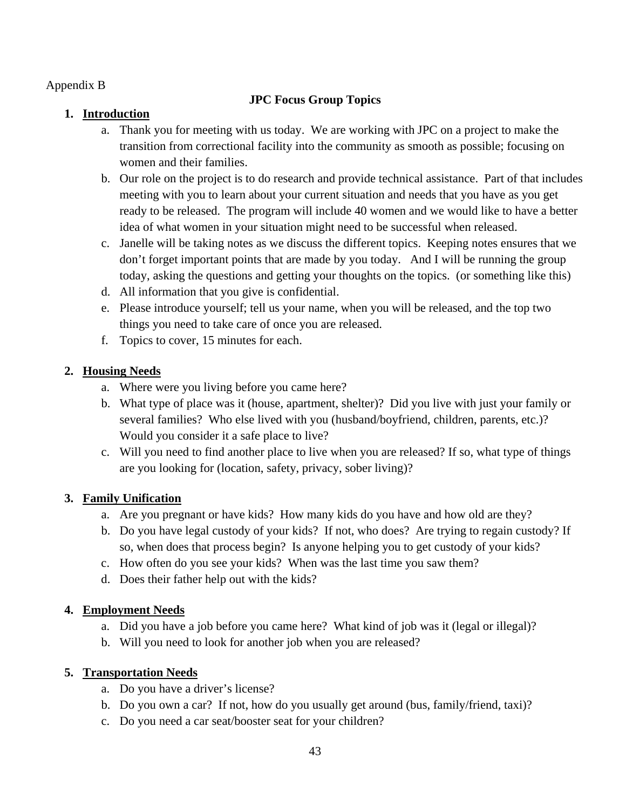Appendix B

# **JPC Focus Group Topics**

## **1. Introduction**

- a. Thank you for meeting with us today. We are working with JPC on a project to make the transition from correctional facility into the community as smooth as possible; focusing on women and their families.
- b. Our role on the project is to do research and provide technical assistance. Part of that includes meeting with you to learn about your current situation and needs that you have as you get ready to be released. The program will include 40 women and we would like to have a better idea of what women in your situation might need to be successful when released.
- c. Janelle will be taking notes as we discuss the different topics. Keeping notes ensures that we don't forget important points that are made by you today. And I will be running the group today, asking the questions and getting your thoughts on the topics. (or something like this)
- d. All information that you give is confidential.
- e. Please introduce yourself; tell us your name, when you will be released, and the top two things you need to take care of once you are released.
- f. Topics to cover, 15 minutes for each.

# **2. Housing Needs**

- a. Where were you living before you came here?
- b. What type of place was it (house, apartment, shelter)? Did you live with just your family or several families? Who else lived with you (husband/boyfriend, children, parents, etc.)? Would you consider it a safe place to live?
- c. Will you need to find another place to live when you are released? If so, what type of things are you looking for (location, safety, privacy, sober living)?

## **3. Family Unification**

- a. Are you pregnant or have kids? How many kids do you have and how old are they?
- b. Do you have legal custody of your kids? If not, who does? Are trying to regain custody? If so, when does that process begin? Is anyone helping you to get custody of your kids?
- c. How often do you see your kids? When was the last time you saw them?
- d. Does their father help out with the kids?

# **4. Employment Needs**

- a. Did you have a job before you came here? What kind of job was it (legal or illegal)?
- b. Will you need to look for another job when you are released?

# **5. Transportation Needs**

- a. Do you have a driver's license?
- b. Do you own a car? If not, how do you usually get around (bus, family/friend, taxi)?
- c. Do you need a car seat/booster seat for your children?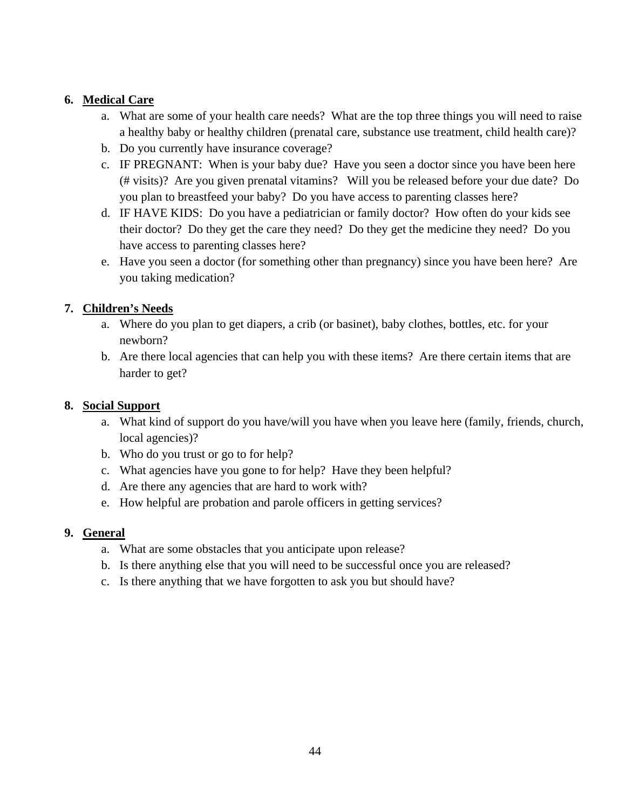## **6. Medical Care**

- a. What are some of your health care needs? What are the top three things you will need to raise a healthy baby or healthy children (prenatal care, substance use treatment, child health care)?
- b. Do you currently have insurance coverage?
- c. IF PREGNANT: When is your baby due? Have you seen a doctor since you have been here (# visits)? Are you given prenatal vitamins? Will you be released before your due date? Do you plan to breastfeed your baby? Do you have access to parenting classes here?
- d. IF HAVE KIDS: Do you have a pediatrician or family doctor? How often do your kids see their doctor? Do they get the care they need? Do they get the medicine they need? Do you have access to parenting classes here?
- e. Have you seen a doctor (for something other than pregnancy) since you have been here? Are you taking medication?

## **7. Children's Needs**

- a. Where do you plan to get diapers, a crib (or basinet), baby clothes, bottles, etc. for your newborn?
- b. Are there local agencies that can help you with these items? Are there certain items that are harder to get?

### **8. Social Support**

- a. What kind of support do you have/will you have when you leave here (family, friends, church, local agencies)?
- b. Who do you trust or go to for help?
- c. What agencies have you gone to for help? Have they been helpful?
- d. Are there any agencies that are hard to work with?
- e. How helpful are probation and parole officers in getting services?

### **9. General**

- a. What are some obstacles that you anticipate upon release?
- b. Is there anything else that you will need to be successful once you are released?
- c. Is there anything that we have forgotten to ask you but should have?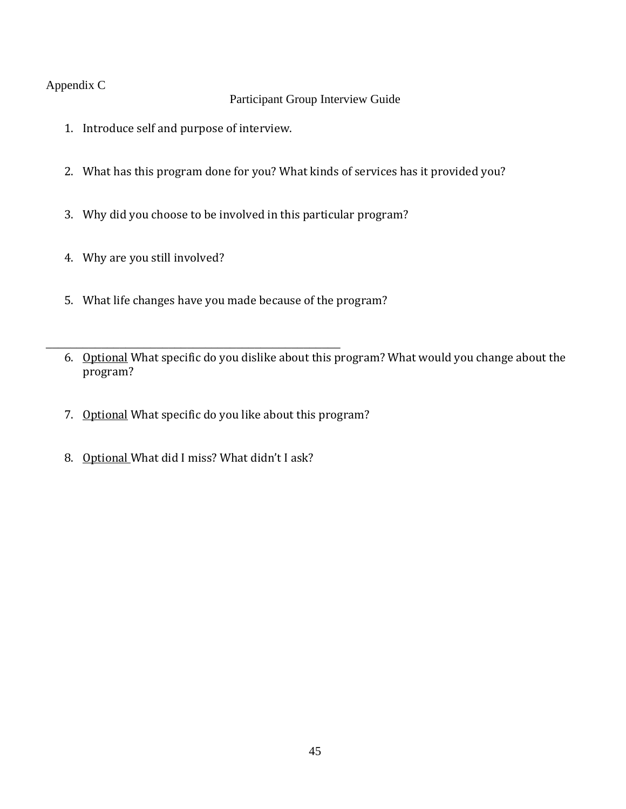## Appendix C

## Participant Group Interview Guide

- 1. Introduce self and purpose of interview.
- 2. What has this program done for you? What kinds of services has it provided you?
- 3. Why did you choose to be involved in this particular program?
- 4. Why are you still involved?
- 5. What life changes have you made because of the program?
- \_\_\_\_\_\_\_\_\_\_\_\_\_\_\_\_\_\_\_\_\_\_\_\_\_\_\_\_\_\_\_\_\_\_\_\_\_\_\_\_\_\_\_\_\_\_\_\_ 6. Optional What specific do you dislike about this program? What would you change about the program?
	- 7. Optional What specific do you like about this program?
	- 8. Optional What did I miss? What didn't I ask?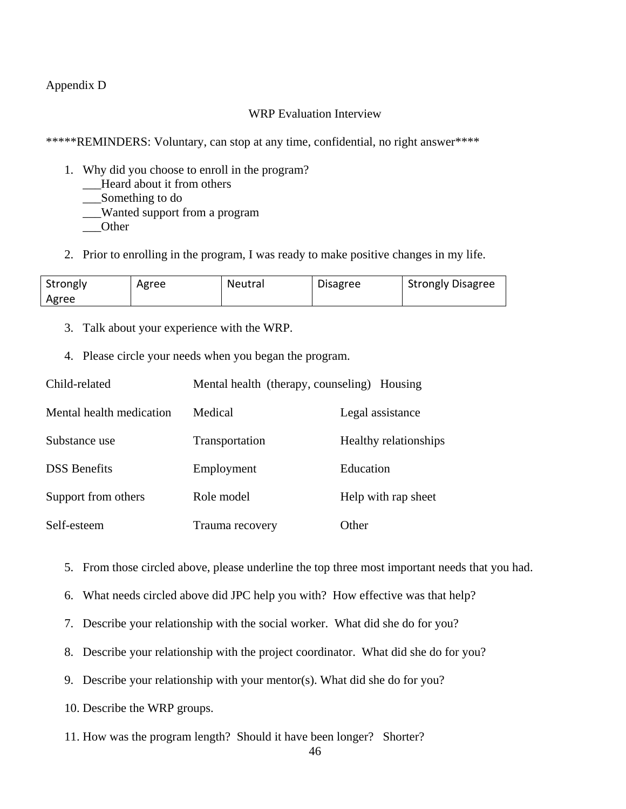### Appendix D

#### WRP Evaluation Interview

\*\*\*\*\*REMINDERS: Voluntary, can stop at any time, confidential, no right answer\*\*\*\*

- 1. Why did you choose to enroll in the program?
	- \_\_\_Heard about it from others
	- \_\_\_Something to do
	- \_\_\_Wanted support from a program
	- \_\_\_Other
- 2. Prior to enrolling in the program, I was ready to make positive changes in my life.

| Strongly | Agree | Neutral | <b>Disagree</b> | <b>Strongly Disagree</b> |
|----------|-------|---------|-----------------|--------------------------|
| Agree    |       |         |                 |                          |

- 3. Talk about your experience with the WRP.
- 4. Please circle your needs when you began the program.

| Child-related            | Mental health (therapy, counseling) Housing |                       |  |
|--------------------------|---------------------------------------------|-----------------------|--|
| Mental health medication | Medical                                     | Legal assistance      |  |
| Substance use            | Transportation                              | Healthy relationships |  |
| <b>DSS</b> Benefits      | Employment                                  | Education             |  |
| Support from others      | Role model                                  | Help with rap sheet   |  |
| Self-esteem              | Trauma recovery                             | Other                 |  |

- 5. From those circled above, please underline the top three most important needs that you had.
- 6. What needs circled above did JPC help you with? How effective was that help?
- 7. Describe your relationship with the social worker. What did she do for you?
- 8. Describe your relationship with the project coordinator. What did she do for you?
- 9. Describe your relationship with your mentor(s). What did she do for you?
- 10. Describe the WRP groups.
- 11. How was the program length? Should it have been longer? Shorter?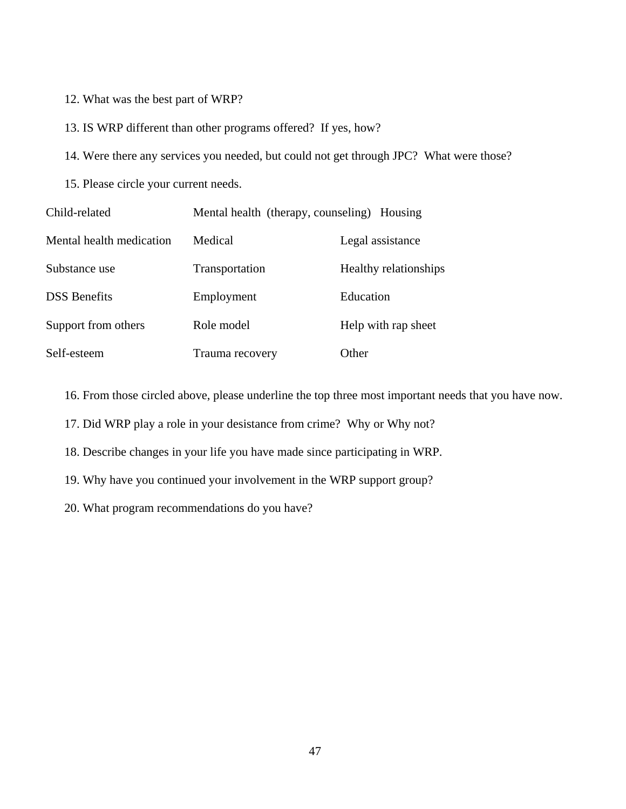- 12. What was the best part of WRP?
- 13. IS WRP different than other programs offered? If yes, how?
- 14. Were there any services you needed, but could not get through JPC? What were those?
- 15. Please circle your current needs.

| Child-related            | Mental health (therapy, counseling) Housing |                       |
|--------------------------|---------------------------------------------|-----------------------|
| Mental health medication | Medical                                     | Legal assistance      |
| Substance use            | Transportation                              | Healthy relationships |
| <b>DSS</b> Benefits      | Employment                                  | Education             |
| Support from others      | Role model                                  | Help with rap sheet   |
| Self-esteem              | Trauma recovery                             | Other                 |

16. From those circled above, please underline the top three most important needs that you have now.

17. Did WRP play a role in your desistance from crime? Why or Why not?

- 18. Describe changes in your life you have made since participating in WRP.
- 19. Why have you continued your involvement in the WRP support group?
- 20. What program recommendations do you have?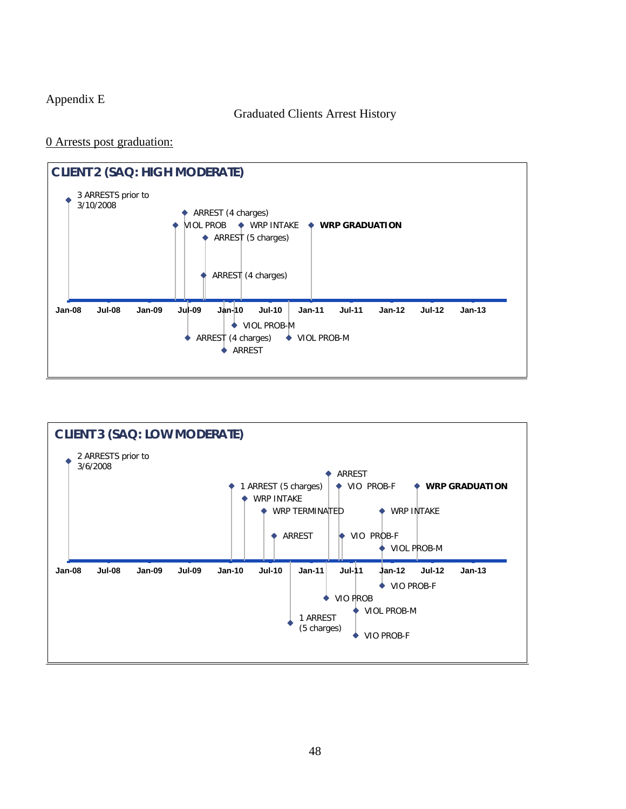## Appendix E

### Graduated Clients Arrest History

#### 0 Arrests post graduation:



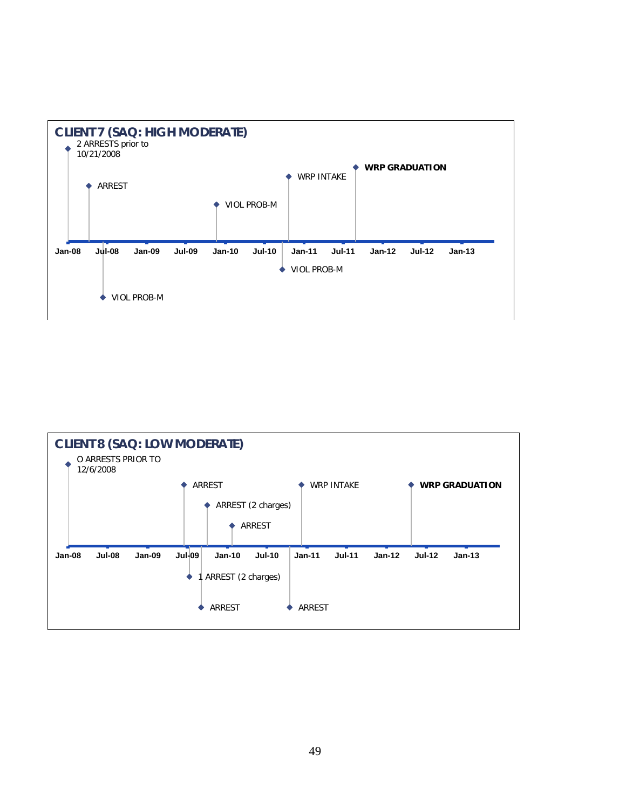

|        | <b>CLIENT 8 (SAQ: LOW MODERATE)</b><br>O ARRESTS PRIOR TO<br>12/6/2008 |               |               |                    |                    |               |                   |          |               |                       |
|--------|------------------------------------------------------------------------|---------------|---------------|--------------------|--------------------|---------------|-------------------|----------|---------------|-----------------------|
|        |                                                                        |               |               | <b>ARREST</b>      |                    |               | <b>WRP INTAKE</b> |          |               | <b>WRP GRADUATION</b> |
|        |                                                                        |               |               |                    |                    |               |                   |          |               |                       |
|        |                                                                        |               |               |                    | ARREST (2 charges) |               |                   |          |               |                       |
|        |                                                                        |               |               |                    | <b>ARREST</b>      |               |                   |          |               |                       |
|        |                                                                        |               |               |                    |                    |               |                   |          |               |                       |
|        |                                                                        |               |               |                    |                    |               |                   |          |               |                       |
| Jan-08 | <b>Jul-08</b>                                                          | <b>Jan-09</b> | <b>Jul-09</b> | $Jan-10$           | $Jul-10$           | $Jan-11$      | $Jul-11$          | $Jan-12$ | <b>Jul-12</b> | $Jan-13$              |
|        |                                                                        |               |               |                    |                    |               |                   |          |               |                       |
|        |                                                                        |               |               | ARREST (2 charges) |                    |               |                   |          |               |                       |
|        |                                                                        |               |               |                    |                    |               |                   |          |               |                       |
|        |                                                                        |               |               |                    |                    |               |                   |          |               |                       |
|        |                                                                        |               |               | <b>ARREST</b>      |                    | <b>ARREST</b> |                   |          |               |                       |
|        |                                                                        |               |               |                    |                    |               |                   |          |               |                       |
|        |                                                                        |               |               |                    |                    |               |                   |          |               |                       |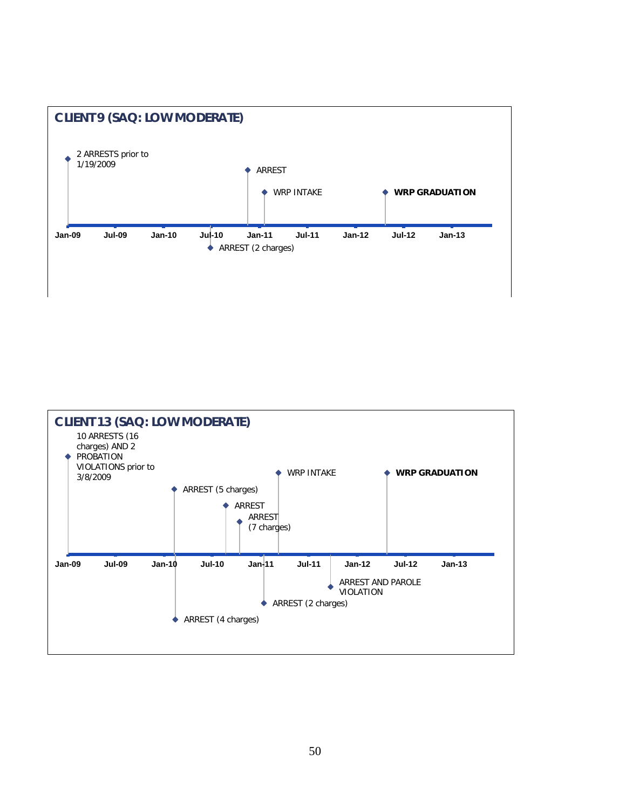

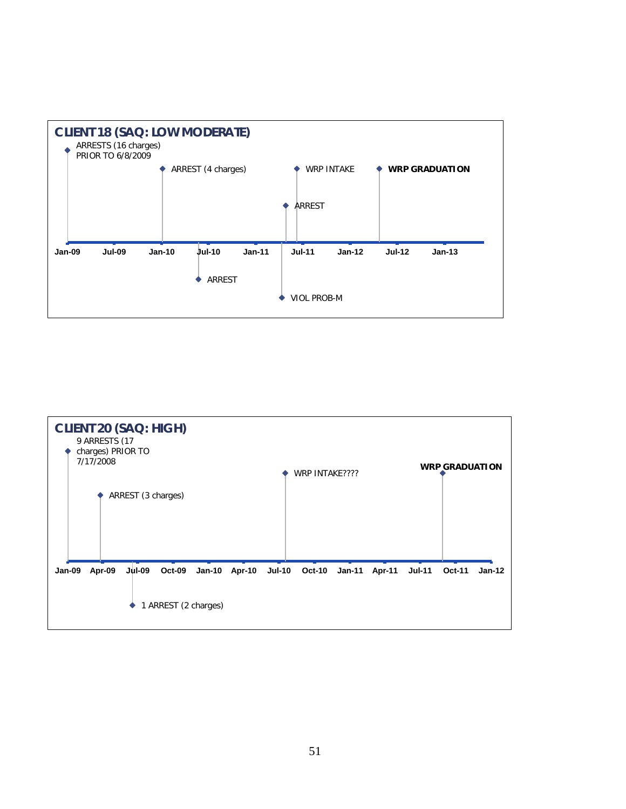

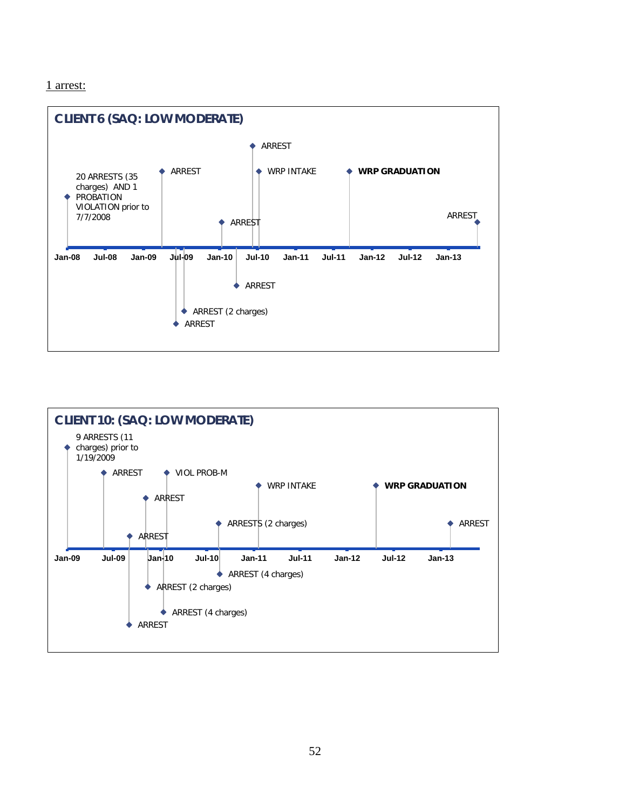#### 1 arrest:



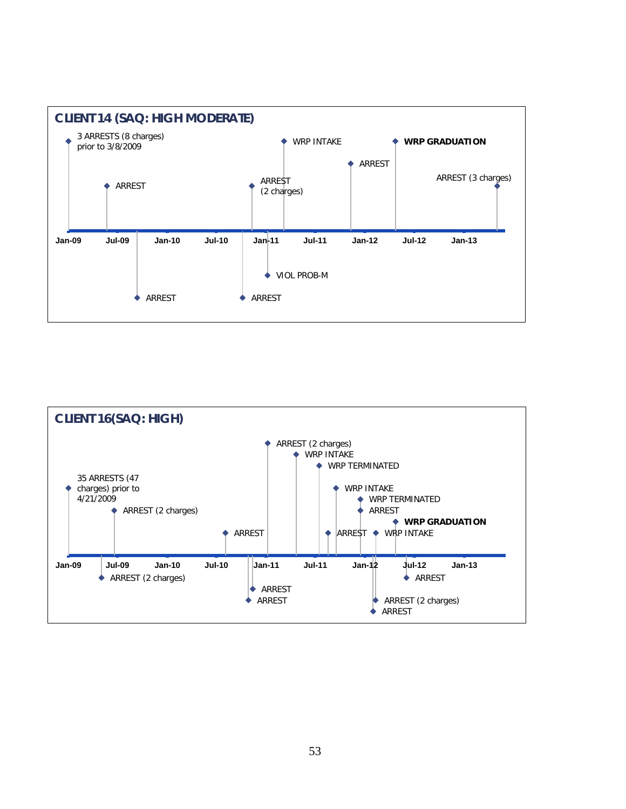

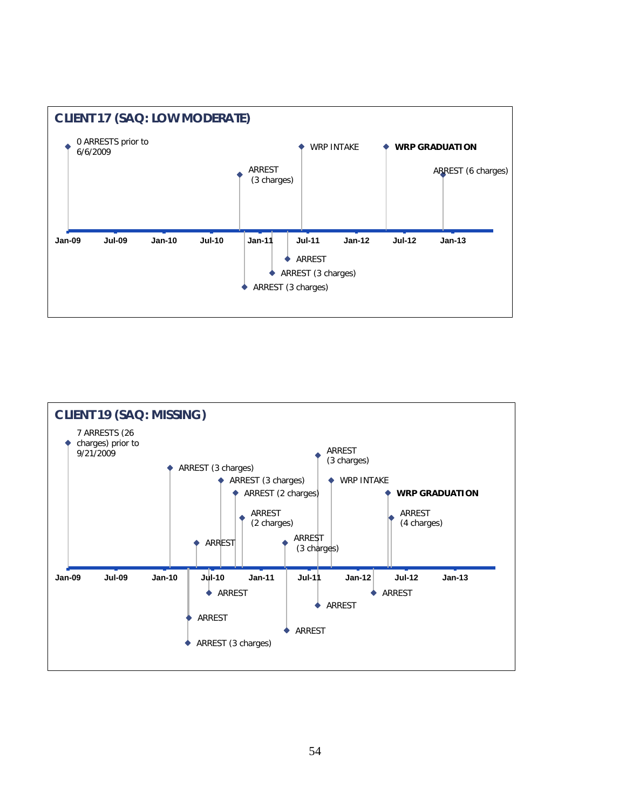

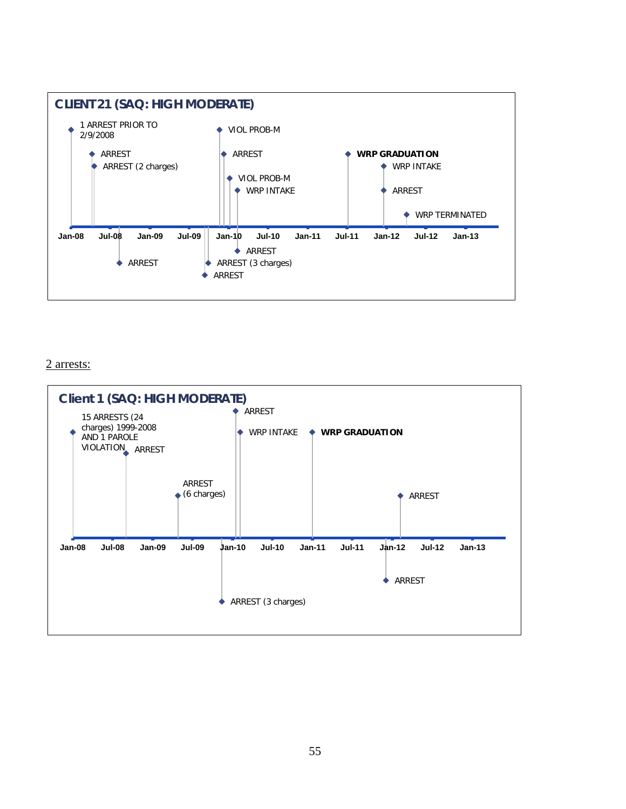

#### 2 arrests:

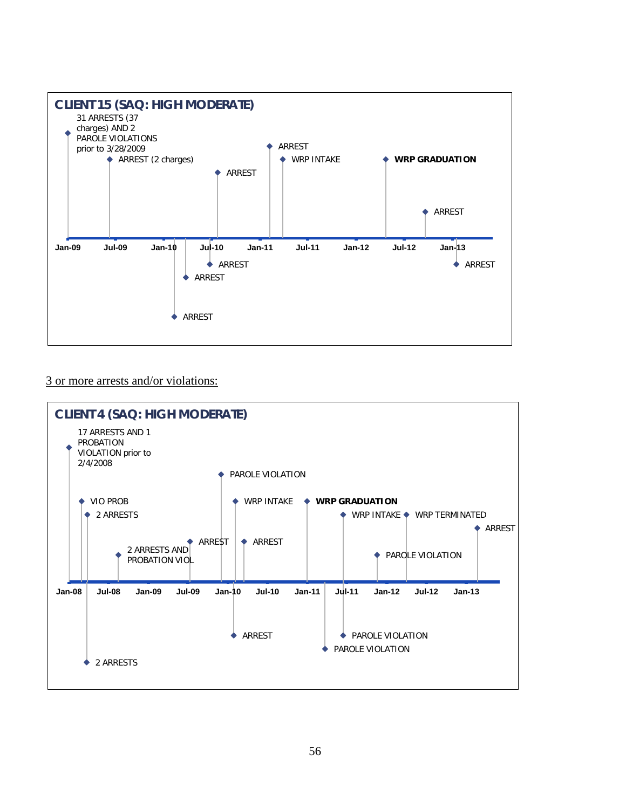

#### 3 or more arrests and/or violations:

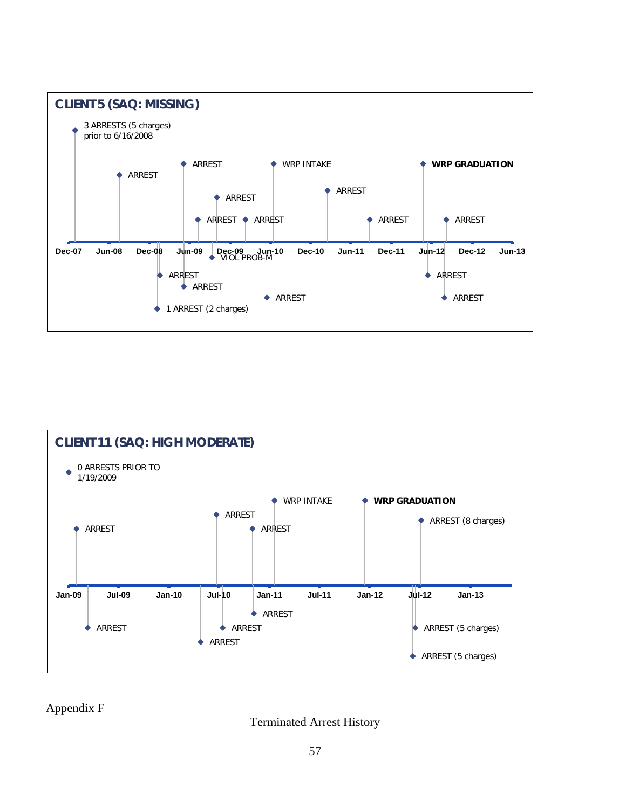



Appendix F

Terminated Arrest History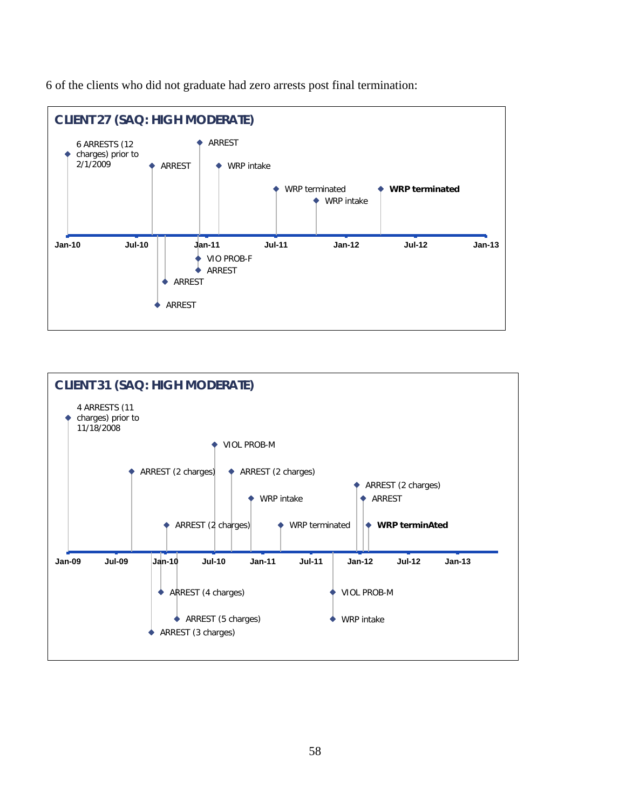6 of the clients who did not graduate had zero arrests post final termination:



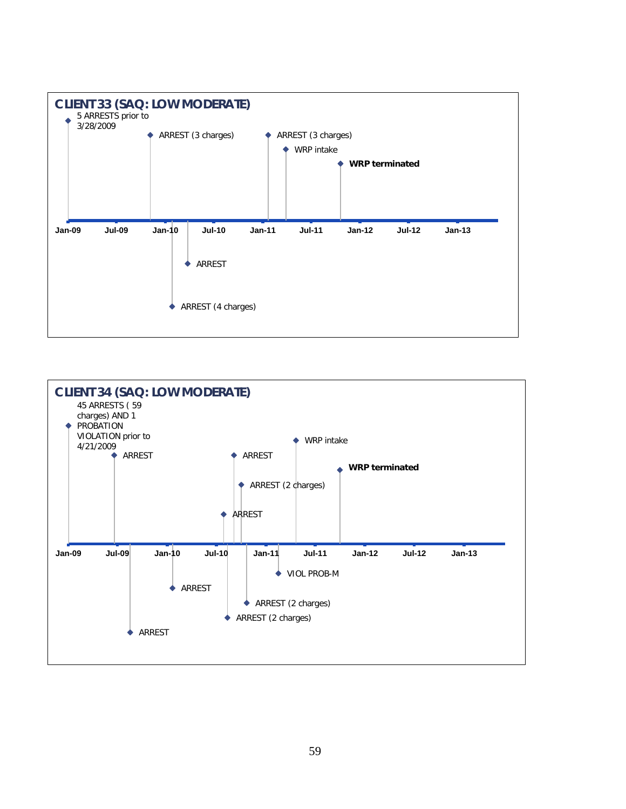

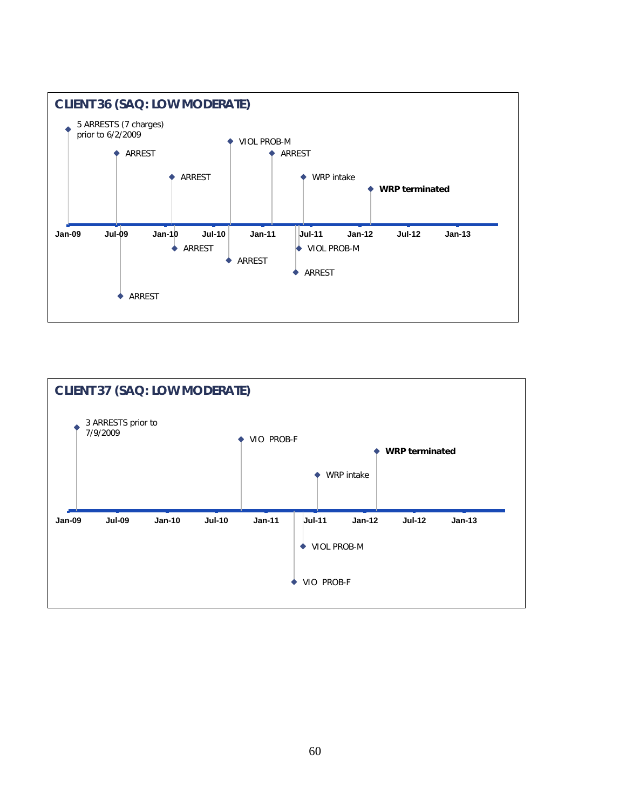

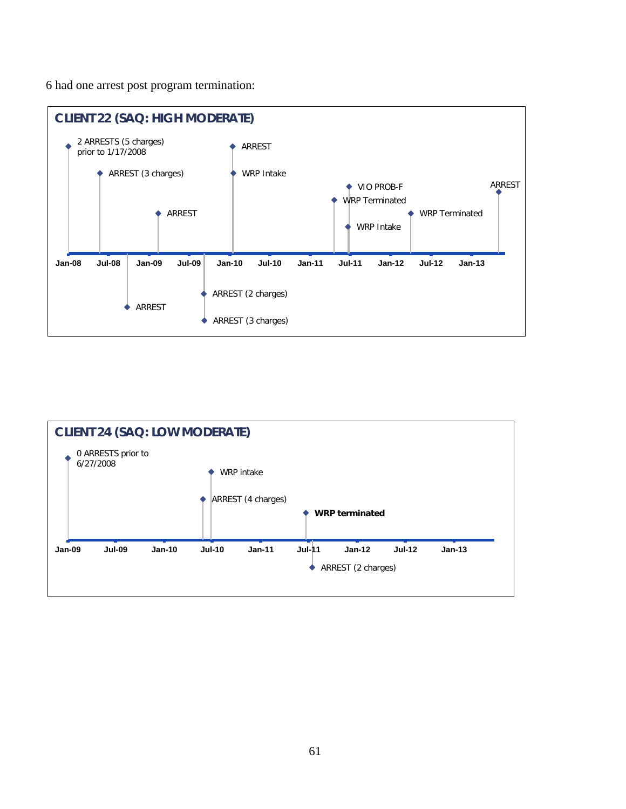6 had one arrest post program termination:



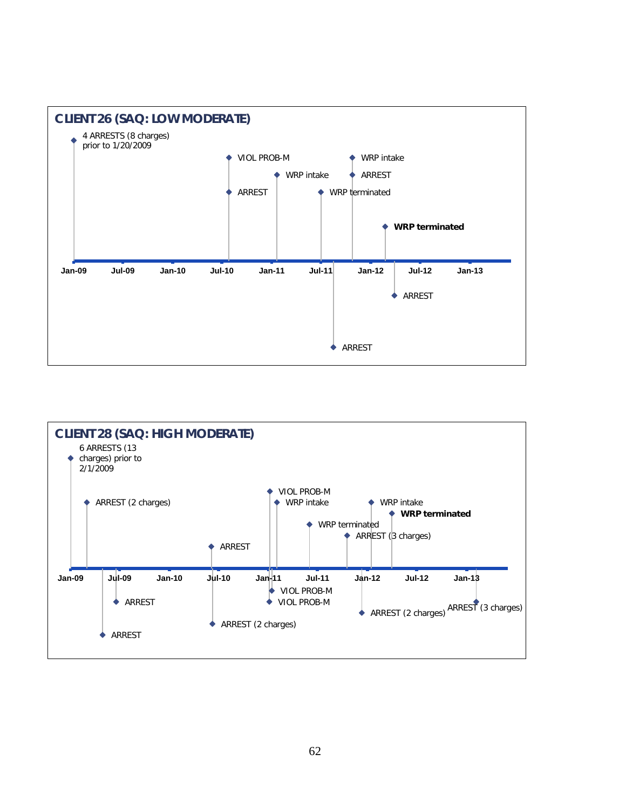

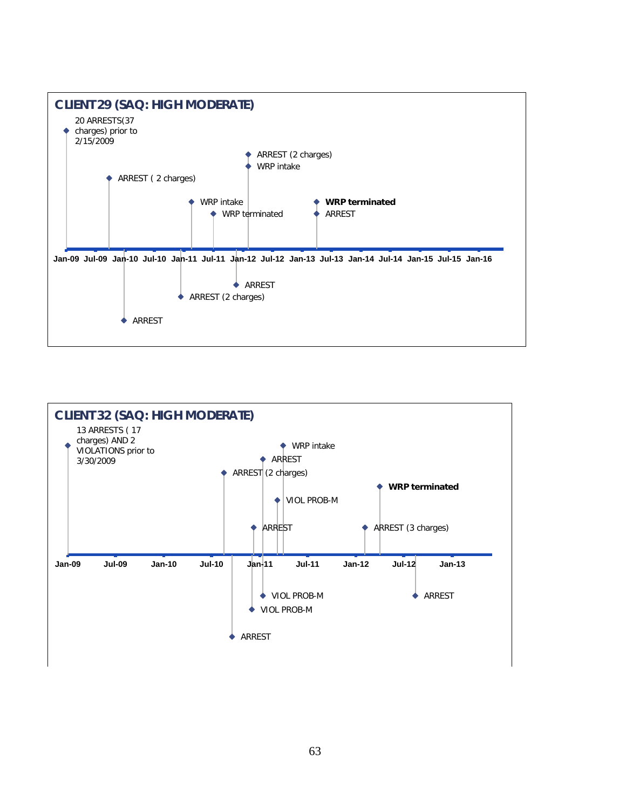

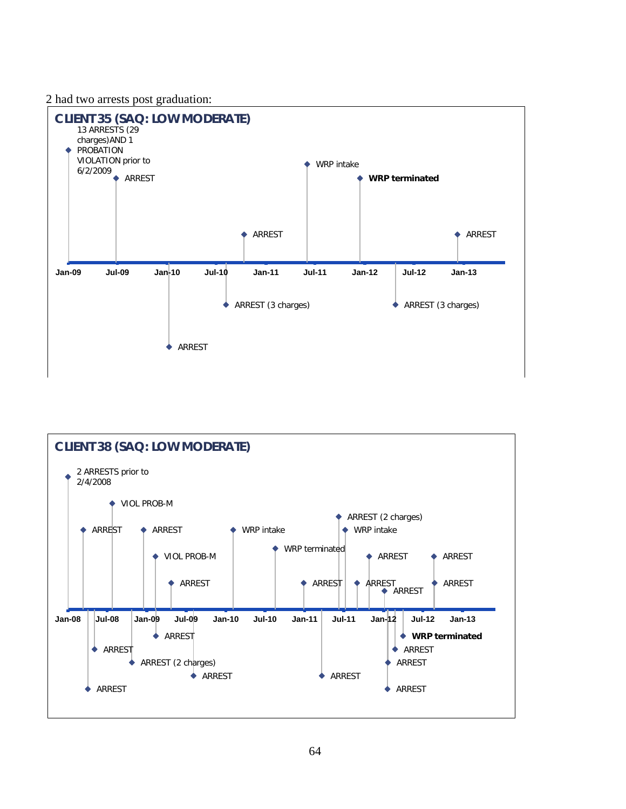2 had two arrests post graduation:



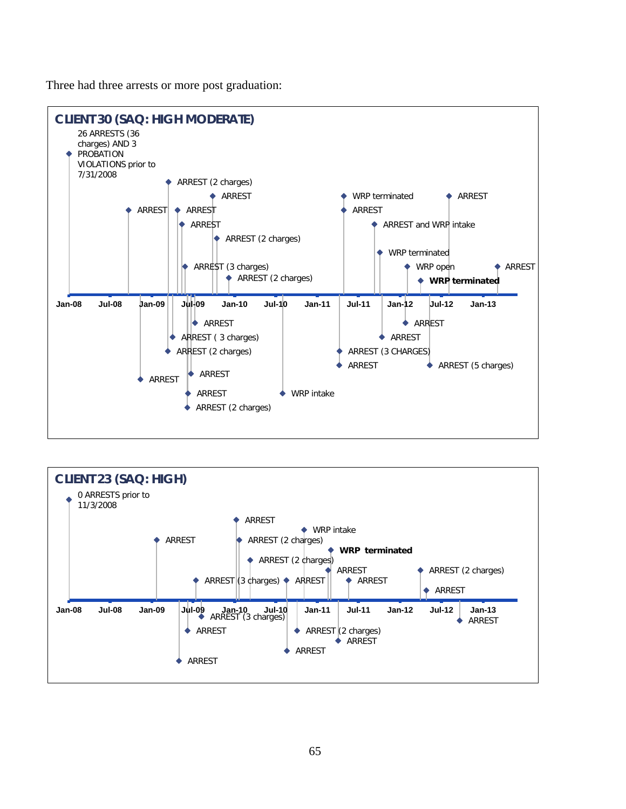Three had three arrests or more post graduation:



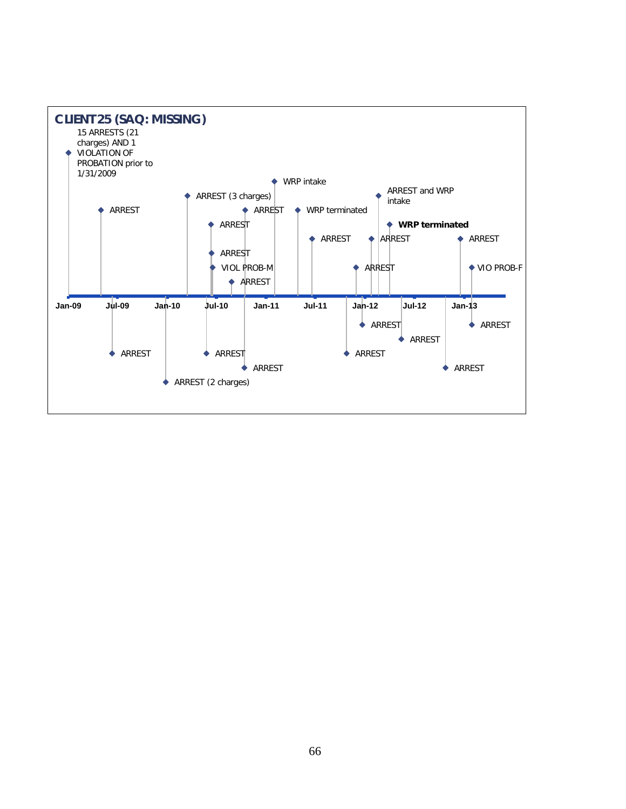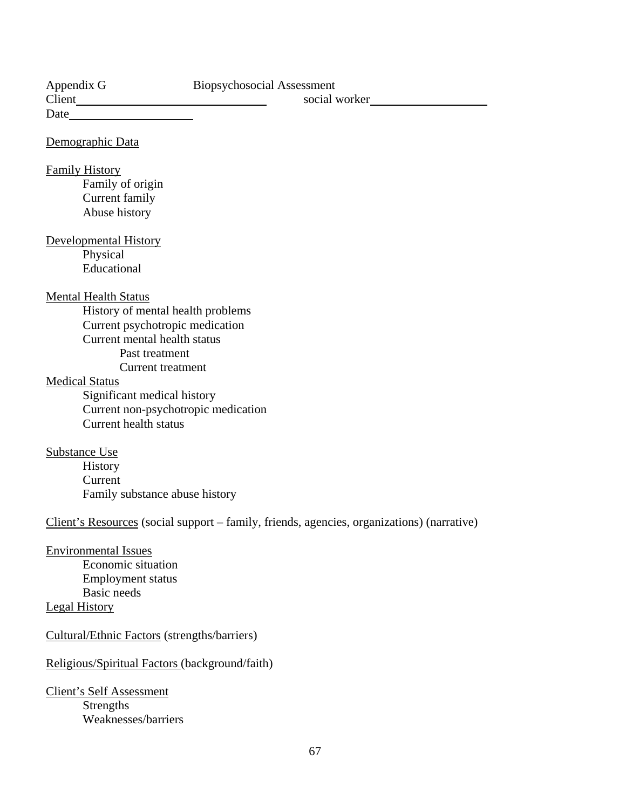| Biopsychosocial Assessment<br>Appendix G<br>social worker                                  |
|--------------------------------------------------------------------------------------------|
|                                                                                            |
| Demographic Data                                                                           |
| <b>Family History</b>                                                                      |
| Family of origin                                                                           |
| Current family                                                                             |
| Abuse history                                                                              |
| <b>Developmental History</b>                                                               |
| Physical                                                                                   |
| Educational                                                                                |
| <b>Mental Health Status</b>                                                                |
| History of mental health problems                                                          |
| Current psychotropic medication                                                            |
| Current mental health status                                                               |
| Past treatment                                                                             |
| <b>Current</b> treatment                                                                   |
| <b>Medical Status</b>                                                                      |
| Significant medical history                                                                |
| Current non-psychotropic medication                                                        |
| <b>Current health status</b>                                                               |
| <b>Substance Use</b>                                                                       |
| History                                                                                    |
| Current                                                                                    |
| Family substance abuse history                                                             |
| Client's Resources (social support – family, friends, agencies, organizations) (narrative) |
| <b>Environmental Issues</b>                                                                |
| <b>Economic situation</b>                                                                  |
| Employment status                                                                          |
| <b>Basic</b> needs                                                                         |
| <b>Legal History</b>                                                                       |
| Cultural/Ethnic Factors (strengths/barriers)                                               |
| Religious/Spiritual Factors (background/faith)                                             |

Client's Self Assessment Strengths Weaknesses/barriers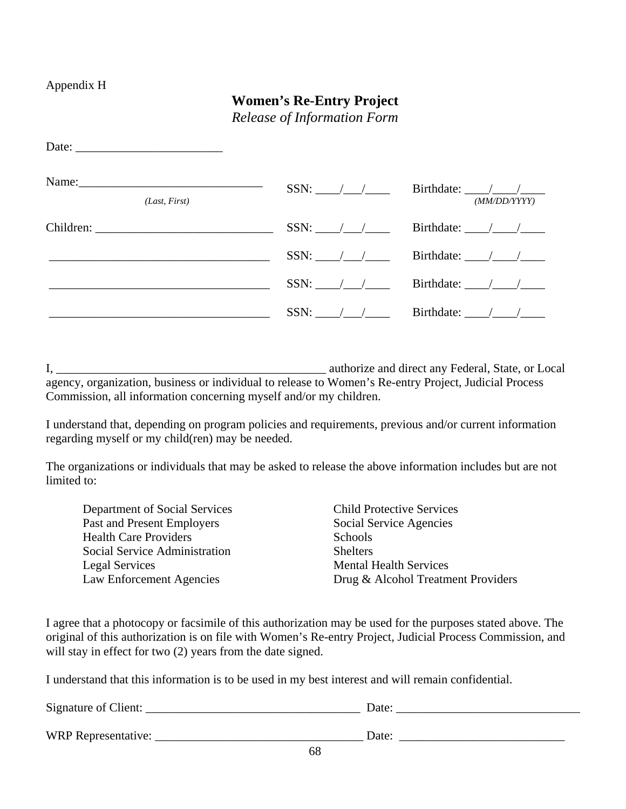### Appendix H

# **Women's Re-Entry Project**

*Release of Information Form*

| Date:                  |                                |                                                                                |
|------------------------|--------------------------------|--------------------------------------------------------------------------------|
| Name:<br>(Last, First) | $SSN:$ $\frac{1}{\sqrt{2\pi}}$ | Birthdate: $\frac{\sqrt{1-\frac{1}{2}}}{\sqrt{1-\frac{1}{2}}}$<br>(MM/DD/YYYY) |
|                        |                                |                                                                                |
|                        | $SSN:$ / /                     | Birthdate: $\frac{1}{\sqrt{1-\frac{1}{2}}}$                                    |
|                        | $SSN:$ / /                     | Birthdate: $\frac{1}{\sqrt{1-\frac{1}{2}}}$                                    |
|                        |                                | Birthdate: $\frac{\sqrt{1-\frac{1}{2}}}{\sqrt{1-\frac{1}{2}}}$                 |

I, \_\_\_\_\_\_\_\_\_\_\_\_\_\_\_\_\_\_\_\_\_\_\_\_\_\_\_\_\_\_\_\_\_\_\_\_\_\_\_\_\_\_\_\_ authorize and direct any Federal, State, or Local agency, organization, business or individual to release to Women's Re-entry Project, Judicial Process Commission, all information concerning myself and/or my children.

I understand that, depending on program policies and requirements, previous and/or current information regarding myself or my child(ren) may be needed.

The organizations or individuals that may be asked to release the above information includes but are not limited to:

| Department of Social Services |
|-------------------------------|
| Past and Present Employers    |
| <b>Health Care Providers</b>  |
| Social Service Administration |
| Legal Services                |
| Law Enforcement Agencies      |

Child Protective Services Social Service Agencies **Schools Shelters** Mental Health Services Drug & Alcohol Treatment Providers

I agree that a photocopy or facsimile of this authorization may be used for the purposes stated above. The original of this authorization is on file with Women's Re-entry Project, Judicial Process Commission, and will stay in effect for two  $(2)$  years from the date signed.

I understand that this information is to be used in my best interest and will remain confidential.

| Signature of Client: | Date:           |
|----------------------|-----------------|
|                      |                 |
| WRP Representative:  | Date:<br>$\sim$ |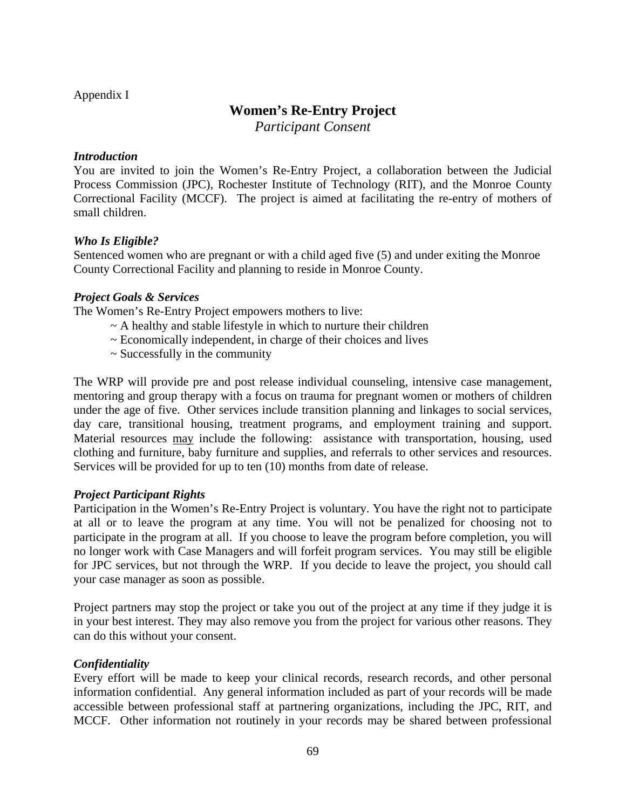### Appendix I

# **Women's Re-Entry Project**

*Participant Consent*

#### *Introduction*

You are invited to join the Women's Re-Entry Project, a collaboration between the Judicial Process Commission (JPC), Rochester Institute of Technology (RIT), and the Monroe County Correctional Facility (MCCF). The project is aimed at facilitating the re-entry of mothers of small children.

### *Who Is Eligible?*

Sentenced women who are pregnant or with a child aged five (5) and under exiting the Monroe County Correctional Facility and planning to reside in Monroe County.

### *Project Goals & Services*

The Women's Re-Entry Project empowers mothers to live:

- $\sim$  A healthy and stable lifestyle in which to nurture their children
- ~ Economically independent, in charge of their choices and lives
- $\sim$  Successfully in the community

The WRP will provide pre and post release individual counseling, intensive case management, mentoring and group therapy with a focus on trauma for pregnant women or mothers of children under the age of five. Other services include transition planning and linkages to social services, day care, transitional housing, treatment programs, and employment training and support. Material resources may include the following: assistance with transportation, housing, used clothing and furniture, baby furniture and supplies, and referrals to other services and resources. Services will be provided for up to ten (10) months from date of release.

#### *Project Participant Rights*

Participation in the Women's Re-Entry Project is voluntary. You have the right not to participate at all or to leave the program at any time. You will not be penalized for choosing not to participate in the program at all. If you choose to leave the program before completion, you will no longer work with Case Managers and will forfeit program services. You may still be eligible for JPC services, but not through the WRP. If you decide to leave the project, you should call your case manager as soon as possible.

Project partners may stop the project or take you out of the project at any time if they judge it is in your best interest. They may also remove you from the project for various other reasons. They can do this without your consent.

### *Confidentiality*

Every effort will be made to keep your clinical records, research records, and other personal information confidential. Any general information included as part of your records will be made accessible between professional staff at partnering organizations, including the JPC, RIT, and MCCF. Other information not routinely in your records may be shared between professional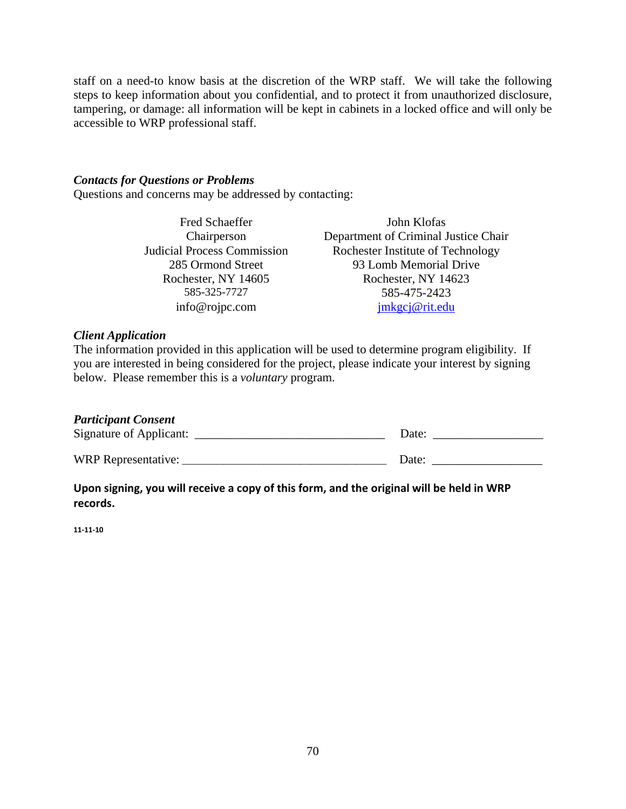staff on a need-to know basis at the discretion of the WRP staff. We will take the following steps to keep information about you confidential, and to protect it from unauthorized disclosure, tampering, or damage: all information will be kept in cabinets in a locked office and will only be accessible to WRP professional staff.

#### *Contacts for Questions or Problems*

Questions and concerns may be addressed by contacting:

Chairperson Judicial Process Commission Rochester, NY 14605 Rochester, NY 14623 info@rojpc.com [jmkgcj@rit.edu](mailto:jmkgcj@rit.edu)

Fred Schaeffer John Klofas Department of Criminal Justice Chair Rochester Institute of Technology 285 Ormond Street 93 Lomb Memorial Drive 585-325-7727 585-475-2423

#### *Client Application*

The information provided in this application will be used to determine program eligibility. If you are interested in being considered for the project, please indicate your interest by signing below. Please remember this is a *voluntary* program.

#### *Participant Consent*

| Signature of Applicant: | Date: |
|-------------------------|-------|
| WRP Representative:     | Date. |

**Upon signing, you will receive a copy of this form, and the original will be held in WRP records.**

**11-11-10**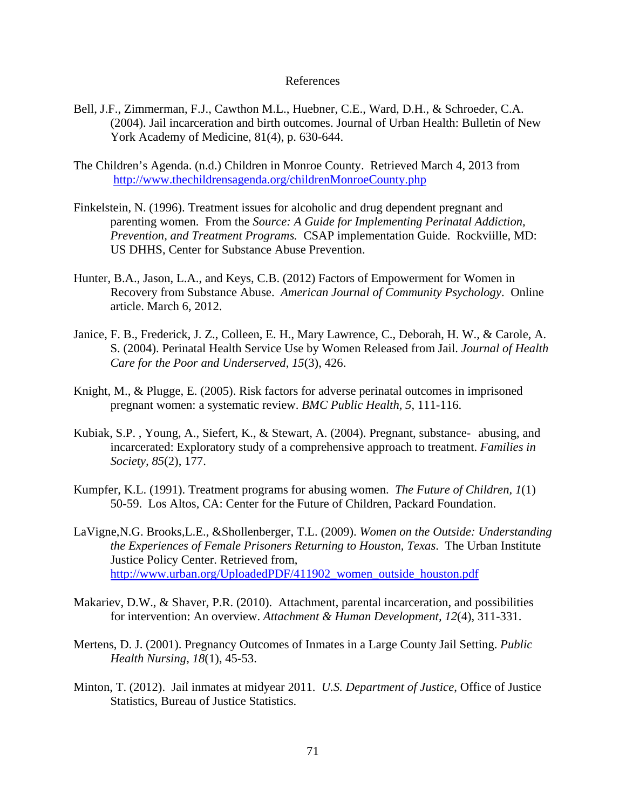#### References

- Bell, J.F., Zimmerman, F.J., Cawthon M.L., Huebner, C.E., Ward, D.H., & Schroeder, C.A. (2004). Jail incarceration and birth outcomes. Journal of Urban Health: Bulletin of New York Academy of Medicine, 81(4), p. 630-644.
- The Children's Agenda. (n.d.) Children in Monroe County. Retrieved March 4, 2013 from <http://www.thechildrensagenda.org/childrenMonroeCounty.php>
- Finkelstein, N. (1996). Treatment issues for alcoholic and drug dependent pregnant and parenting women. From the *Source: A Guide for Implementing Perinatal Addiction, Prevention, and Treatment Programs.* CSAP implementation Guide. Rockviille, MD: US DHHS, Center for Substance Abuse Prevention.
- Hunter, B.A., Jason, L.A., and Keys, C.B. (2012) Factors of Empowerment for Women in Recovery from Substance Abuse. *American Journal of Community Psychology*. Online article. March 6, 2012.
- Janice, F. B., Frederick, J. Z., Colleen, E. H., Mary Lawrence, C., Deborah, H. W., & Carole, A. S. (2004). Perinatal Health Service Use by Women Released from Jail. *Journal of Health Care for the Poor and Underserved, 15*(3), 426.
- Knight, M., & Plugge, E. (2005). Risk factors for adverse perinatal outcomes in imprisoned pregnant women: a systematic review. *BMC Public Health, 5*, 111-116.
- Kubiak, S.P. , Young, A., Siefert, K., & Stewart, A. (2004). Pregnant, substance- abusing, and incarcerated: Exploratory study of a comprehensive approach to treatment. *Families in Society, 85*(2), 177.
- Kumpfer, K.L. (1991). Treatment programs for abusing women. *The Future of Children, 1*(1) 50-59. Los Altos, CA: Center for the Future of Children, Packard Foundation.
- LaVigne,N.G. Brooks,L.E., &Shollenberger, T.L. (2009). *Women on the Outside: Understanding the Experiences of Female Prisoners Returning to Houston, Texas*. The Urban Institute Justice Policy Center. Retrieved from, [http://www.urban.org/UploadedPDF/411902\\_women\\_outside\\_houston.pdf](http://www.urban.org/UploadedPDF/411902_women_outside_houston.pdf)
- Makariev, D.W., & Shaver, P.R. (2010). Attachment, parental incarceration, and possibilities for intervention: An overview. *Attachment & Human Development, 12*(4), 311-331.
- Mertens, D. J. (2001). Pregnancy Outcomes of Inmates in a Large County Jail Setting. *Public Health Nursing, 18*(1), 45-53.
- Minton, T. (2012). Jail inmates at midyear 2011. *U.S. Department of Justice*, Office of Justice Statistics, Bureau of Justice Statistics.